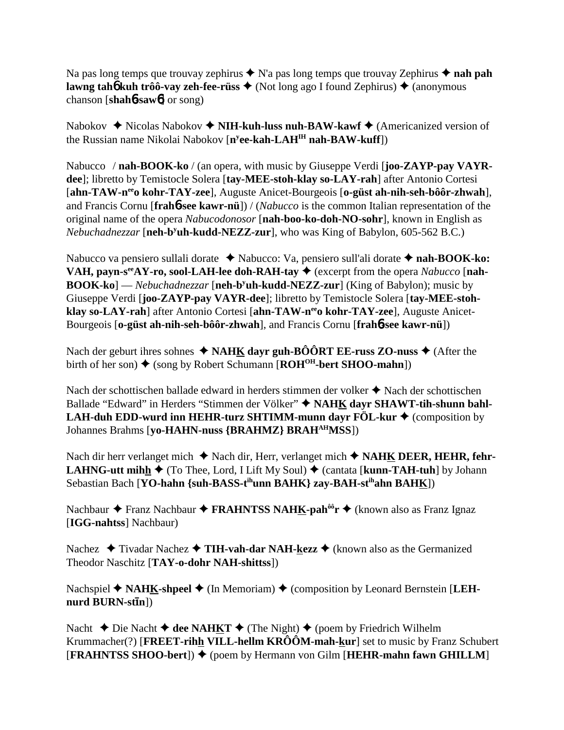Na pas long temps que trouvay zephirus  $\triangle$  N'a pas long temps que trouvay Zephirus  $\triangle$  **nah pah lawng tah<sup>6</sup> kuh trôô-vay zeh-fee-rüss**  $\triangle$  (Not long ago I found Zephirus)  $\triangle$  (anonymous chanson [**shah**6**-saw**6] or song)

Nabokov **→** Nicolas Nabokov ◆ **NIH-kuh-luss nuh-BAW-kawf ◆** (Americanized version of the Russian name Nikolai Nabokov [**ny ee-kah-LAHIH nah-BAW-kuff**])

Nabucco / **nah-BOOK-ko** / (an opera, with music by Giuseppe Verdi [**joo-ZAYP-pay VAYRdee**]; libretto by Temistocle Solera [**tay-MEE-stoh-klay so-LAY-rah**] after Antonio Cortesi [**ahn-TAW-neeo kohr-TAY-zee**], Auguste Anicet-Bourgeois [**o-güst ah-nih-seh-bôôr-zhwah**], and Francis Cornu [**frah**6**-see kawr-nü**]) / (*Nabucco* is the common Italian representation of the original name of the opera *Nabucodonosor* [**nah-boo-ko-doh-NO-sohr**], known in English as Nebuchadnezzar [neh-b<sup>y</sup>uh-kudd-NEZZ-zur], who was King of Babylon, 605-562 B.C.)

Nabucco va pensiero sullali dorate ◆ Nabucco: Va, pensiero sull'ali dorate ◆ nah-BOOK-ko: **VAH, payn-s<sup>ee</sup>AY-ro, sool-LAH-lee doh-RAH-tay**  $\triangleq$  **(excerpt from the opera** *Nabucco* **[nah-BOOK-ko**] — *Nebuchadnezzar* [**neh-b<sup>y</sup>uh-kudd-NEZZ-zur**] (King of Babylon); music by Giuseppe Verdi [**joo-ZAYP-pay VAYR-dee**]; libretto by Temistocle Solera [**tay-MEE-stoh**klay so-LAY-rah] after Antonio Cortesi [ahn-TAW-neeo kohr-TAY-zee], Auguste Anicet-Bourgeois [**o-güst ah-nih-seh-bôôr-zhwah**], and Francis Cornu [**frah**6**-see kawr-nü**])

Nach der geburt ihres sohnes  $\triangle$  **NAHK dayr guh-BÔÔRT EE-russ ZO-nuss**  $\triangle$  (After the birth of her son)  $\triangleq$  (song by Robert Schumann [**ROH<sup>OH</sup>-bert SHOO-mahn**])

Nach der schottischen ballade edward in herders stimmen der volker  $\triangle$  Nach der schottischen Ballade "Edward" in Herders "Stimmen der Völker"  $\blacklozenge$  NAHK dayr SHAWT-tih-shunn bahl-**LAH-duh EDD-wurd inn HEHR-turz SHTIMM-munn dayr FÖL-kur ♦** (composition by Johannes Brahms [**yo-HAHN-nuss {BRAHMZ} BRAHAHMSS**])

Nach dir herr verlanget mich ◆ Nach dir, Herr, verlanget mich ◆ NA**HK DEER, HEHR, fehr-LAHNG-utt mihh**  $\blacklozenge$  **(To Thee, Lord, I Lift My Soul)**  $\blacklozenge$  **(cantata [<b>kunn-TAH-tuh**] by Johann Sebastian Bach [**YO-hahn {suh-BASS-tihunn BAHK} zay-BAH-stihahn BAHK**])

Nachbaur **→** Franz Nachbaur **→ FRAHNTSS NAHK-pah<sup>ôô</sup>r →** (known also as Franz Ignaz [**IGG-nahtss**] Nachbaur)

Nachez **→** Tivadar Nachez → TIH-vah-dar NAH-kezz → (known also as the Germanized Theodor Naschitz [**TAY-o-dohr NAH-shittss**])

Nachspiel ◆ NAHK-shpeel ◆ (In Memoriam) ◆ (composition by Leonard Bernstein [LEH**nurd BURN-stn**])

Nacht **→** Die Nacht **→ dee NAHKT** → (The Night)  $\rightarrow$  (poem by Friedrich Wilhelm Krummacher(?) [**FREET-rihh VILL-hellm KRÔÔM-mah-kur**] set to music by Franz Schubert **[FRAHNTSS SHOO-bert])**  $\blacklozenge$  (poem by Hermann von Gilm [HEHR-mahn fawn GHILLM]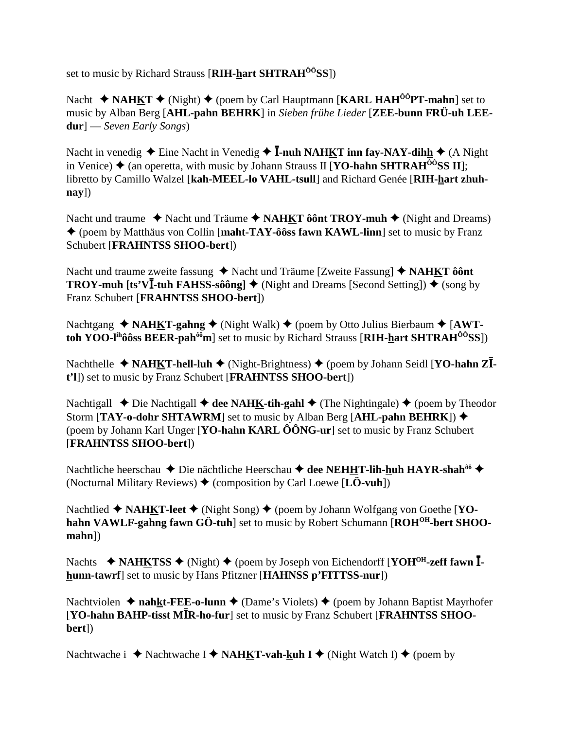set to music by Richard Strauss [RIH-hart SHTRAH<sup>00</sup>SS])

Nacht ◆ NAHKT ◆ (Night) ◆ (poem by Carl Hauptmann [KARL HAH<sup>00</sup>PT-mahn] set to music by Alban Berg [AHL-pahn BEHRK] in Sieben frühe Lieder [ZEE-bunn FRÜ-uh LEE $dur$   $-$  Seven Early Songs)

Nacht in venedig  $\triangle$  Eine Nacht in Venedig  $\triangle$  **Ī-nuh NAHKT inn fav-NAY-dihh**  $\triangle$  (A Night in Venice)  $\triangle$  (an operetta, with music by Johann Strauss II [**YO-hahn SHTRAH**<sup> $\hat{o}$ o<sup>o</sup>**SS II**];</sup> libretto by Camillo Walzel [kah-MEEL-lo VAHL-tsull] and Richard Genée [RIH-hart zhuh- $\bf{nay}$ ])

Nacht und traume  $\rightarrow$  Nacht und Träume  $\rightarrow$  NAHKT ôônt TROY-muh  $\rightarrow$  (Night and Dreams) ♦ (poem by Matthäus von Collin [maht-TAY-ôôss fawn KAWL-linn] set to music by Franz Schubert [FRAHNTSS SHOO-bert])

Nacht und traume zweite fassung  $\triangle$  Nacht und Träume [Zweite Fassung]  $\triangle$  NAHKT ôônt **TROY-muh [ts'VI-tuh FAHSS-sôông]**  $\blacklozenge$  (Night and Dreams [Second Setting])  $\blacklozenge$  (song by Franz Schubert [FRAHNTSS SHOO-bert])

Nachtgang  $\triangle$  NAHKT-gahng  $\triangle$  (Night Walk)  $\triangle$  (poem by Otto Julius Bierbaum  $\triangle$  [AWTtoh YOO-l<sup>th</sup>ôôss BEER-pah<sup> $\hat{\theta}$ ôm set to music by Richard Strauss [RIH-hart SHTRAH<sup> $\hat{\theta}$ ôSS])</sup></sup>

Nachthelle ◆ NAHKT-hell-luh ◆ (Night-Brightness) ◆ (poem by Johann Seidl [YO-hahn Z $\overline{I}$ t'll) set to music by Franz Schubert [FRAHNTSS SHOO-bert])

Nachtigall  $\triangle$  Die Nachtigall  $\triangle$  dee NAHK-tih-gahl  $\triangle$  (The Nightingale)  $\triangle$  (poem by Theodor Storm [TAY-o-dohr SHTAWRM] set to music by Alban Berg [AHL-pahn BEHRK]) ◆ (poem by Johann Karl Unger [YO-hahn KARL  $\hat{O} \hat{O} N G$ -ur] set to music by Franz Schubert [FRAHNTSS SHOO-bert])

Nachtliche heerschau ◆ Die nächtliche Heerschau ◆ dee NEHHT-lih-huh HAYR-shah<sup>ôô</sup> ◆ (Nocturnal Military Reviews)  $\blacklozenge$  (composition by Carl Loewe [LÖ-vuh])

Nachtlied  $\triangle$  NAHKT-leet  $\triangle$  (Night Song)  $\triangle$  (poem by Johann Wolfgang von Goethe [YOhahn VAWLF-gahng fawn GÖ-tuh] set to music by Robert Schumann [ROH<sup>OH</sup>-bert SHOO- $$ 

Nachts ◆ NAHKTSS ◆ (Night) ◆ (poem by Joseph von Eichendorff [YOH<sup>OH</sup>-zeff fawn  $\overline{I}$ hunn-tawrf set to music by Hans Pfitzner [HAHNSS p'FITTSS-nur])

Nachtviolen  $\triangle$  nahkt-FEE-o-lunn  $\triangle$  (Dame's Violets)  $\triangle$  (poem by Johann Baptist Mayrhofer [YO-hahn BAHP-tisst MIR-ho-fur] set to music by Franz Schubert [FRAHNTSS SHOObert])

Nachtwache i ◆ Nachtwache I ◆ NAHKT-vah-kuh I ◆ (Night Watch I) ◆ (poem by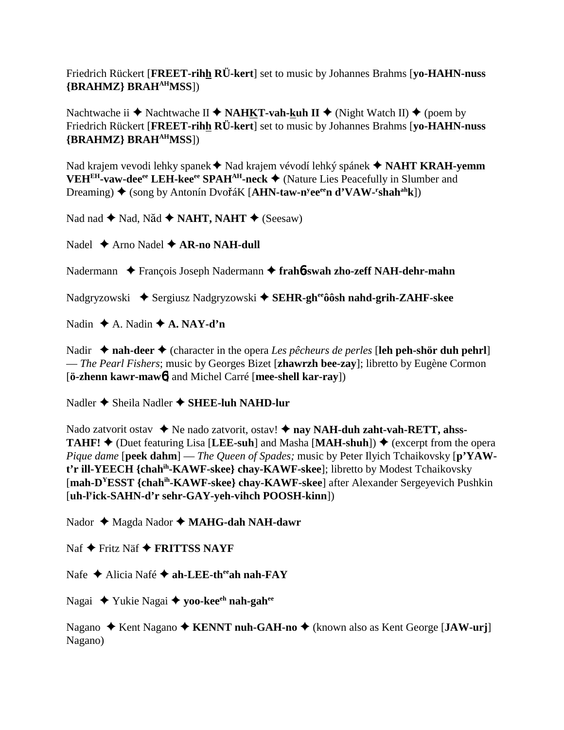Friedrich Rückert [**FREET-rihh RÜ-kert**] set to music by Johannes Brahms [**yo-HAHN-nuss {BRAHMZ} BRAHAHMSS**])

Nachtwache ii  $\blacklozenge$  Nachtwache II  $\blacklozenge$  **NAHKT-vah-kuh II**  $\blacklozenge$  (Night Watch II)  $\blacklozenge$  (poem by Friedrich Rückert [**FREET-rihh RÜ-kert**] set to music by Johannes Brahms [**yo-HAHN-nuss {BRAHMZ} BRAHAHMSS**])

Nad krajem vevodi lehky spanek ◆ Nad krajem vévodí lehký spánek ◆ NAHT KRAH-yemm VEH<sup>EH</sup>-vaw-dee<sup>ee</sup> LEH-kee<sup>ee</sup> SPAH<sup>AH</sup>-neck ♦ (Nature Lies Peacefully in Slumber and Dreaming) ◆ (song by Antonín DvořáK [AHN-taw-n<sup>y</sup>ee<sup>ee</sup>n d'VAW-<sup>r</sup>shah<sup>ah</sup>k])

Nad nad ◆ Nad, Năd ◆ NAHT, NAHT ◆ (Seesaw)

Nadel **→** Arno Nadel **→ AR-no NAH-dull** 

Nadermann **←** François Joseph Nadermann ← frah**6**-swah zho-zeff NAH-dehr-mahn

Nadgryzowski ◆ Sergiusz Nadgryzowski ◆ SEHR-gheeoosh nahd-grih-ZAHF-skee

Nadin  $\triangle$  A. Nadin  $\triangle$  A. NAY-d'n

Nadir  $\triangle$  **nah-deer**  $\triangle$  (character in the opera *Les pêcheurs de perles* [leh peh-shör duh pehrl] — *The Pearl Fishers*; music by Georges Bizet [**zhawrzh bee-zay**]; libretto by Eugène Cormon [**ö-zhenn kawr-maw**6] and Michel Carré [**mee-shell kar-ray**])

Nadler **→** Sheila Nadler **→ SHEE-luh NAHD-lur** 

Nado zatvorit ostav ◆ Ne nado zatvorit, ostav! ◆ nay NAH-duh zaht-vah-RETT, ahss-**TAHF!**  $\triangle$  (Duet featuring Lisa [LEE-suh] and Masha [MAH-shuh])  $\triangle$  (excerpt from the opera *Pique dame* [**peek dahm**] — *The Queen of Spades;* music by Peter Ilyich Tchaikovsky [**p'YAWt'r ill-YEECH {chahih-KAWF-skee} chay-KAWF-skee**]; libretto by Modest Tchaikovsky [**mah-DYESST {chahih-KAWF-skee} chay-KAWF-skee**] after Alexander Sergeyevich Pushkin [**uh-ly ick-SAHN-d'r sehr-GAY-yeh-vihch POOSH-kinn**])

Nador ◆ Magda Nador ◆ MAHG-dah NAH-dawr

Naf **→** Fritz Näf **→ FRITTSS NAYF** 

Nafe **→** Alicia Nafé **→ ah-LEE-th<sup>ee</sup>ah nah-FAY** 

Nagai Yukie Nagai **yoo-keeeh nah-gahee**

Nagano ◆ Kent Nagano ◆ KENNT nuh-GAH-no ◆ (known also as Kent George [**JAW-urj**] Nagano)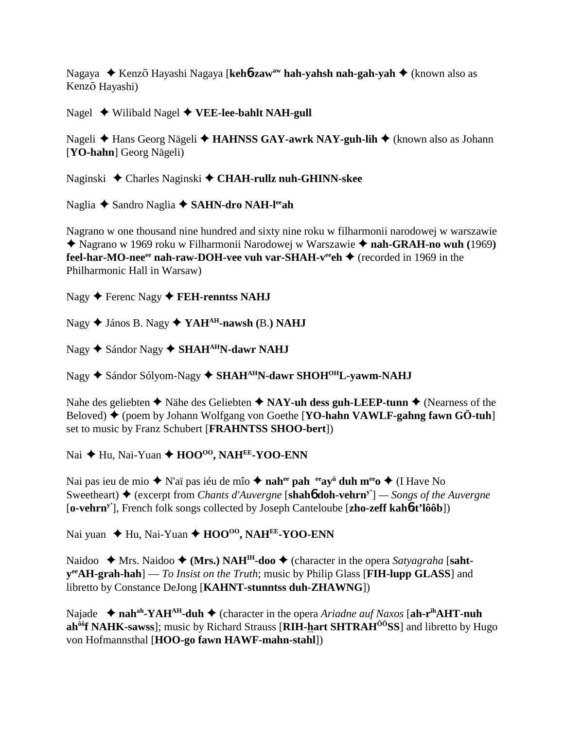Nagaya ◆ Kenz<del>o</del> Hayashi Nagaya [keh**6-zaw<sup>aw</sup> hah-yahsh nah-gah-yah ◆** (known also as Kenzō Hayashi)

Nagel Wilibald Nagel **VEE-lee-bahlt NAH-gull**

Nageli **→** Hans Georg Nägeli → **HAHNSS GAY-awrk NAY-guh-lih** → (known also as Johann [**YO-hahn**] Georg Nägeli)

Naginski Charles Naginski **CHAH-rullz nuh-GHINN-skee**

Naglia ◆ Sandro Naglia ◆ **SAHN-dro NAH-l<sup>ee</sup>ah** 

Nagrano w one thousand nine hundred and sixty nine roku w filharmonii narodowej w warszawie ◆ Nagrano w 1969 roku w Filharmonii Narodowej w Warszawie ◆ nah-GRAH-no wuh (1969) **feel-har-MO-nee<sup>ee</sup> nah-raw-DOH-vee vuh var-SHAH-v<sup>ee</sup>eh ♦ (recorded in 1969 in the** Philharmonic Hall in Warsaw)

Nagy ◆ Ferenc Nagy ◆ **FEH-renntss NAHJ** 

Nagy János B. Nagy **YAHAH-nawsh (**B.**) NAHJ**

Nagy ◆ Sándor Nagy ◆ **SHAH<sup>AH</sup>N-dawr NAHJ** 

Nagy ◆ Sándor Sólyom-Nagy ◆ SHAH<sup>AH</sup>N-dawr SHOH<sup>OH</sup>L-yawm-NAHJ

Nahe des geliebten  $\triangle$  Nähe des Geliebten  $\triangle$  **NAY-uh dess guh-LEEP-tunn**  $\triangle$  (Nearness of the Beloved) (poem by Johann Wolfgang von Goethe [**YO-hahn VAWLF-gahng fawn GÖ-tuh**] set to music by Franz Schubert [**FRAHNTSS SHOO-bert**])

Nai ◆ Hu, Nai-Yuan ◆ HOO<sup>oo</sup>, NAH<sup>EE</sup>-YOO-ENN

Nai pas ieu de mio ◆ N'aï pas iéu de mîo ◆ **nah<sup>ee</sup> pah <sup>ee</sup>ay<sup>ü</sup> duh m<sup>ee</sup>o ◆** (I Have No Sweetheart) **→** (excerpt from *Chants d'Auvergne* [**shahb doh-vehrn**<sup>y'</sup>] — *Songs of the Auvergne* [**o-vehrny'**], French folk songs collected by Joseph Canteloube [**zho-zeff kah**6**-t'lôôb**])

Nai yuan ◆ Hu, Nai-Yuan ◆ HOO<sup>oo</sup>, NAH<sup>EE</sup>-YOO-ENN

Naidoo  $\triangle$  Mrs. Naidoo  $\triangle$  (Mrs.) NAH<sup>IH</sup>-doo  $\triangle$  (character in the opera *Satyagraha* [saht**yeeAH-grah-hah**] — *To Insist on the Truth*; music by Philip Glass [**FIH-lupp GLASS**] and libretto by Constance DeJong [**KAHNT-stunntss duh-ZHAWNG**])

Najade ◆ nah<sup>ah</sup>-YAH<sup>AH</sup>-duh ◆ (character in the opera *Ariadne auf Naxos* [ah-r<sup>ih</sup>AHT-nuh **ah<sup>ôô</sup>f NAHK-sawss**]; music by Richard Strauss [RIH-hart SHTRAH<sup>ÔÔ</sup>SS] and libretto by Hugo von Hofmannsthal [**HOO-go fawn HAWF-mahn-stahl**])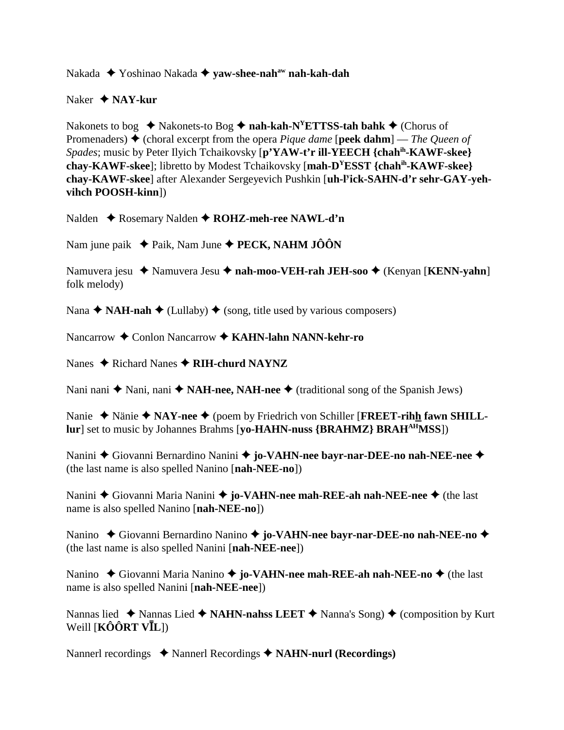Nakada Yoshinao Nakada **yaw-shee-nahaw nah-kah-dah**

### Naker  **NAY-kur**

Nakonets to bog  $\triangleleft$  Nakonets-to Bog  $\triangleleft$  nah-kah-N<sup>Y</sup>ETTSS-tah bahk  $\triangleleft$  (Chorus of Promenaders) (choral excerpt from the opera *Pique dame* [**peek dahm**] — *The Queen of Spades*; music by Peter Ilyich Tchaikovsky [**p'YAW-t'r ill-YEECH {chahih-KAWF-skee} chay-KAWF-skee**]; libretto by Modest Tchaikovsky [**mah-DYESST {chahih-KAWF-skee} chay-KAWF-skee**] after Alexander Sergeyevich Pushkin [**uh-ly ick-SAHN-d'r sehr-GAY-yehvihch POOSH-kinn**])

Nalden **← Rosemary Nalden ← ROHZ-meh-ree NAWL-d'n** 

Nam june paik  $\blacklozenge$  Paik, Nam June  $\blacklozenge$  **PECK, NAHM JÔÔN** 

Namuvera jesu ◆ Namuvera Jesu ◆ nah-moo-VEH-rah JEH-soo ◆ (Kenyan [**KENN-yahn**] folk melody)

Nana  $\triangle$  **NAH-nah**  $\triangle$  (Lullaby)  $\triangle$  (song, title used by various composers)

Nancarrow **←** Conlon Nancarrow ← KAHN-lahn NANN-kehr-ro

Nanes **→** Richard Nanes **→ RIH-churd NAYNZ** 

Nani nani  $\triangle$  Nani, nani  $\triangle$  **NAH-nee, NAH-nee**  $\triangle$  (traditional song of the Spanish Jews)

Nanie ◆ Nänie ◆ NAY-nee ◆ (poem by Friedrich von Schiller [**FREET-rihh fawn SHILLlur**] set to music by Johannes Brahms [**yo-HAHN-nuss {BRAHMZ} BRAHAHMSS**])

Nanini **→** Giovanni Bernardino Nanini → jo-VAHN-nee bayr-nar-DEE-no nah-NEE-nee → (the last name is also spelled Nanino [**nah-NEE-no**])

Nanini ◆ Giovanni Maria Nanini ◆ **jo-VAHN-nee mah-REE-ah nah-NEE-nee** ◆ (the last name is also spelled Nanino [**nah-NEE-no**])

Nanino ◆ Giovanni Bernardino Nanino ◆ jo-VAHN-nee bayr-nar-DEE-no nah-NEE-no ◆ (the last name is also spelled Nanini [**nah-NEE-nee**])

Nanino ◆ Giovanni Maria Nanino ◆ **jo-VAHN-nee mah-REE-ah nah-NEE-no** ◆ (the last name is also spelled Nanini [**nah-NEE-nee**])

Nannas lied  $\triangle$  Nannas Lied  $\triangle$  **NAHN-nahss LEET**  $\triangle$  Nanna's Song)  $\triangle$  (composition by Kurt  $W$ eill [**KÔÔRT VĪL**])

Nannerl recordings **→** Nannerl Recordings → **NAHN-nurl (Recordings)**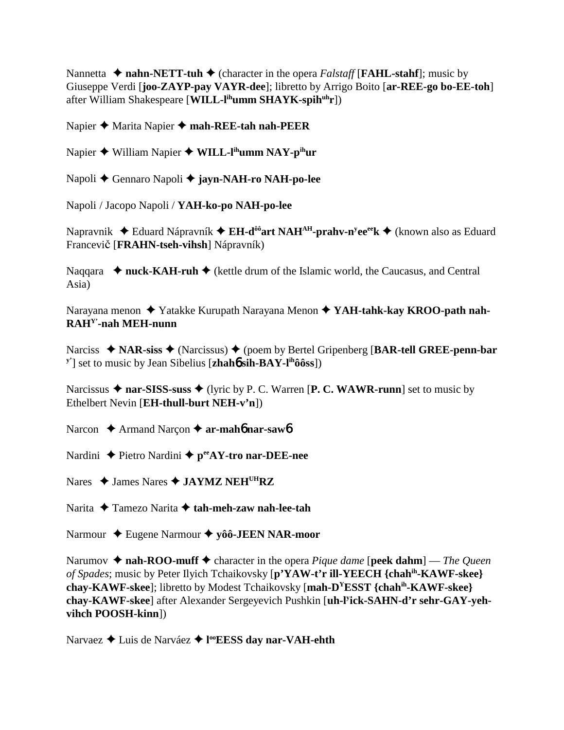Nannetta  $\triangle$  **nahn-NETT-tuh**  $\triangle$  (character in the opera *Falstaff* [**FAHL-stahf**]; music by Giuseppe Verdi [**joo-ZAYP-pay VAYR-dee**]; libretto by Arrigo Boito [**ar-REE-go bo-EE-toh**] after William Shakespeare [**WILL-lihumm SHAYK-spihuhr**])

Napier ◆ Marita Napier ◆ mah-REE-tah nah-PEER

Napier ◆ William Napier ◆ W**ILL-l<sup>ih</sup>umm NAY-p<sup>ih</sup>ur** 

Napoli Gennaro Napoli **jayn-NAH-ro NAH-po-lee**

Napoli / Jacopo Napoli / **YAH-ko-po NAH-po-lee**

Napravnik ◆ Eduard Nápravník ◆ E**H-d<sup>ôô</sup>art NAH<sup>AH</sup>-prahv-n<sup>y</sup>ee<sup>ee</sup>k ◆** (known also as Eduard Francevi**č** [**FRAHN-tseh-vihsh**] Nápravník)

Naqqara  $\rightarrow$  nuck-KAH-ruh  $\rightarrow$  (kettle drum of the Islamic world, the Caucasus, and Central Asia)

Narayana menon Yatakke Kurupath Narayana Menon **YAH-tahk-kay KROO-path nah-RAHY'-nah MEH-nunn**

Narciss ◆ NAR-siss ◆ (Narcissus) ◆ (poem by Bertel Gripenberg [BAR-tell GREE-penn-bar **y'**] set to music by Jean Sibelius [**zhah**6 **sih-BAY-lihôôss**])

Narcissus  $\triangle$  nar-SISS-suss  $\triangle$  (lyric by P. C. Warren [P. C. WAWR-runn] set to music by Ethelbert Nevin [**EH-thull-burt NEH-v'n**])

Narcon **→** Armand Narçon → **ar-mah<sup>6</sup> nar-saw**6

Nardini ◆ Pietro Nardini ◆ p<sup>ee</sup>AY-tro nar-DEE-nee

Nares  $\triangle$  James Nares  $\triangle$  **JAYMZ NEH<sup>UH</sup>RZ** 

Narita Tamezo Narita **tah-meh-zaw nah-lee-tah**

Narmour Eugene Narmour **yôô-JEEN NAR-moor**

Narumov  $\triangle$  **nah-ROO-muff**  $\triangle$  character in the opera *Pique dame* [**peek dahm**] — *The Queen of Spades*; music by Peter Ilyich Tchaikovsky [**p'YAW-t'r ill-YEECH {chahih-KAWF-skee} chay-KAWF-skee**]; libretto by Modest Tchaikovsky [**mah-DYESST {chahih-KAWF-skee} chay-KAWF-skee**] after Alexander Sergeyevich Pushkin [**uh-ly ick-SAHN-d'r sehr-GAY-yehvihch POOSH-kinn**])

Narvaez Luis de Narváez **l ooEESS day nar-VAH-ehth**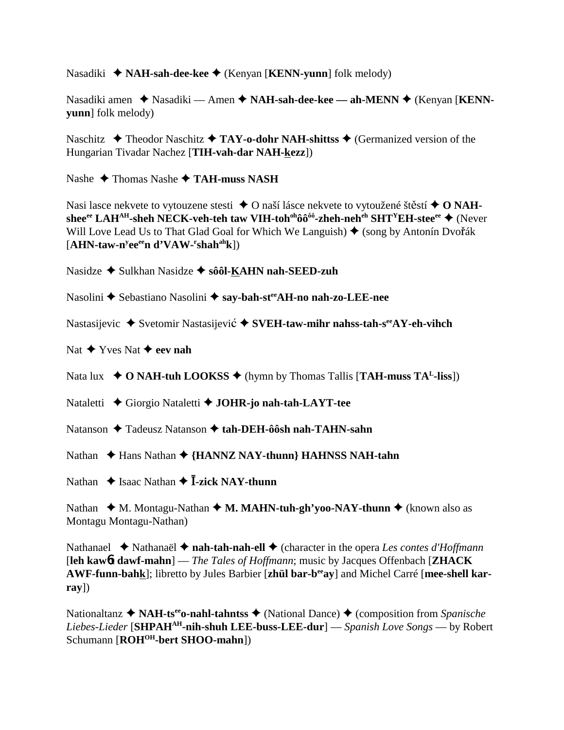Nasadiki ◆ **NAH-sah-dee-kee** ◆ (Kenyan [**KENN-yunn**] folk melody)

Nasadiki amen ◆ Nasadiki — Amen ◆ NAH-sah-dee-kee — ah-MENN ◆ (Kenyan [KENN**yunn**] folk melody)

Naschitz  $\triangle$  Theodor Naschitz  $\triangle$  **TAY-o-dohr NAH-shittss**  $\triangle$  (Germanized version of the Hungarian Tivadar Nachez [**TIH-vah-dar NAH-kezz**])

Nashe **→ Thomas Nashe → TAH-muss NASH** 

Nasi lasce nekvete to vytouzene stesti  $\triangle$  O naší lásce nekvete to vytoužené štěstí  $\triangle$  O NAHshee<sup>ee</sup> LAH<sup>AH</sup>-sheh NECK-veh-teh taw VIH-toh<sup>oh</sup>ôô<sup>ôô</sup>-zheh-neh<sup>eh</sup> SHT<sup>Y</sup>EH-stee<sup>ee</sup> ◆ (Never Will Love Lead Us to That Glad Goal for Which We Languish)  $\blacklozenge$  (song by Antonín Dvořák [**AHN-taw-ny eeeen d'VAW-r shahahk**])

Nasidze **→** Sulkhan Nasidze → sôôl-KAHN nah-SEED-zuh

Nasolini ◆ Sebastiano Nasolini ◆ say-bah-st<sup>ee</sup>AH-no nah-zo-LEE-nee

Nastasijevic ◆ Svetomir Nastasijević ◆ SVEH-taw-mihr nahss-tah-s<sup>ee</sup>AY-eh-vihch

Nat  $\blacklozenge$  Yves Nat  $\blacklozenge$  **eev nah** 

Nata lux  $\rightarrow$  **O NAH-tuh LOOKSS**  $\rightarrow$  (hymn by Thomas Tallis [**TAH-muss TA<sup>L</sup>-liss**])

Nataletti  **←** Giorgio Nataletti ← **JOHR-jo nah-tah-LAYT-tee** 

Natanson **→** Tadeusz Natanson → tah-DEH-ôôsh nah-TAHN-sahn

Nathan ◆ Hans Nathan ◆ {**HANNZ NAY-thunn**} **HAHNSS NAH-tahn** 

Nathan  $\triangle$  Isaac Nathan  $\triangle$  **I**-zick NAY-thunn

Nathan  $\triangleleft M$ . Montagu-Nathan  $\triangleleft M$ . MAHN-tuh-gh'yoo-NAY-thunn  $\triangleleft$  (known also as Montagu Montagu-Nathan)

Nathanael ◆ Nathanaël ◆ nah-tah-nah-ell ◆ (character in the opera *Les contes d'Hoffmann* [**leh kaw**6**t dawf-mahn**] — *The Tales of Hoffmann*; music by Jacques Offenbach [**ZHACK** AWF-funn-bahk]; libretto by Jules Barbier [zhül bar-b<sup>ee</sup>ay] and Michel Carré [mee-shell kar**ray**])

Nationaltanz **◆ NAH-ts<sup>ee</sup>o-nahl-tahntss ◆** (National Dance) ◆ (composition from *Spanische Liebes-Lieder* [**SHPAHAH-nih-shuh LEE-buss-LEE-dur**] — *Spanish Love Songs* — by Robert Schumann [**ROH<sup>OH</sup>-bert SHOO-mahn**])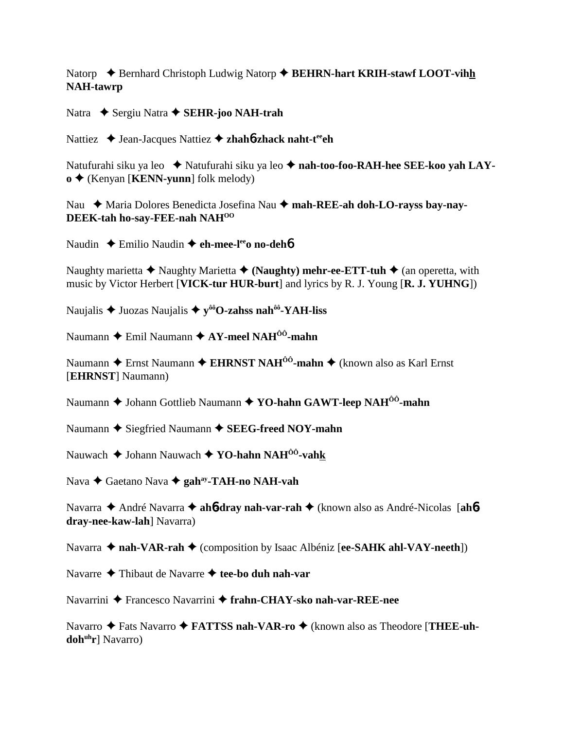Natorp **→** Bernhard Christoph Ludwig Natorp ◆ **BEHRN-hart KRIH-stawf LOOT-vihh NAH-tawrp**

Natra **→** Sergiu Natra → SEHR-joo NAH-trah

Nattiez **→** Jean-Jacques Nattiez **→ zhahó-zhack naht-t<sup>ee</sup>ch** 

Natufurahi siku ya leo ◆ Natufurahi siku ya leo ◆ nah-too-foo-RAH-hee SEE-koo yah LAY**o** ◆ (Kenyan [**KENN-yunn**] folk melody)

Nau ◆ Maria Dolores Benedicta Josefina Nau ◆ mah-REE-ah doh-LO-rayss bay-nay-**DEEK-tah ho-say-FEE-nah NAHOO**

Naudin **←** Emilio Naudin ← eh-mee-leeo no-deh6

Naughty marietta **→** Naughty Marietta ◆ (Naughty) mehr-ee-ETT-tuh ◆ (an operetta, with music by Victor Herbert [**VICK-tur HUR-burt**] and lyrics by R. J. Young [**R. J. YUHNG**])

Naujalis  $\triangle$  Juozas Naujalis  $\triangle$  y<sup> $\delta \delta$ </sup>O-zahss nah<sup> $\delta \delta$ </sup>-YAH-liss

Naumann **→** Emil Naumann **→ AY-meel NAH<sup>ôô</sup>-mahn** 

Naumann ◆ Ernst Naumann ◆ EHRNST NAH<sup>ôô</sup>-mahn ◆ (known also as Karl Ernst [**EHRNST**] Naumann)

Naumann ◆ Johann Gottlieb Naumann ◆ YO-hahn GAWT-leep NAH<sup>ôô</sup>-mahn

Naumann ◆ Siegfried Naumann ◆ **SEEG-freed NOY-mahn** 

Nauwach Johann Nauwach **YO-hahn NAHÔÔ-vahk**

Nava Gaetano Nava **gahay-TAH-no NAH-vah**

Navarra ◆ André Navarra ◆ ah**6-dray nah-var-rah** ◆ (known also as André-Nicolas [ah6**dray-nee-kaw-lah**] Navarra)

Navarra **← nah-VAR-rah** ← (composition by Isaac Albéniz [**ee-SAHK ahl-VAY-neeth**])

Navarre **→** Thibaut de Navarre → tee-bo duh nah-var

Navarrini ◆ Francesco Navarrini ◆ frahn-CHAY-sko nah-var-REE-nee

Navarro ◆ Fats Navarro ◆ **FATTSS nah-VAR-ro** ◆ (known also as Theodore [**THEE-uh**doh<sup>uh</sup>r] Navarro)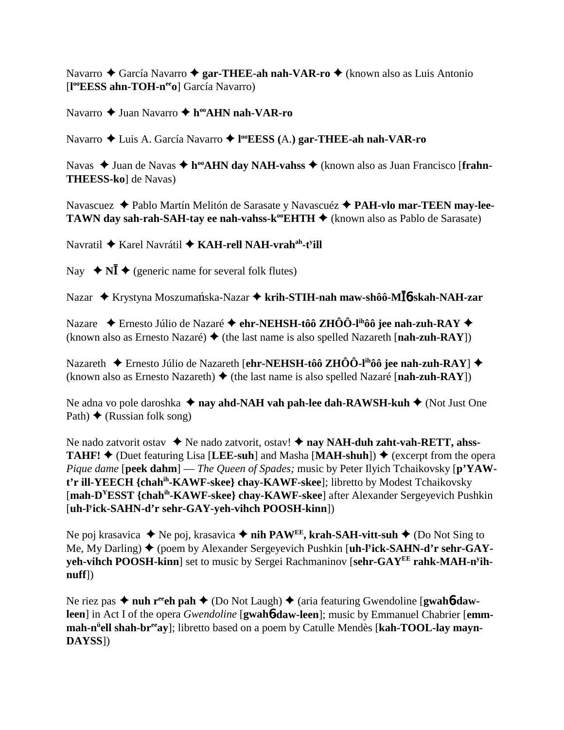Navarro ◆ García Navarro ◆ gar-THEE-ah nah-VAR-ro ◆ (known also as Luis Antonio [**l ooEESS ahn-TOH-neeo**] García Navarro)

Navarro **→** Juan Navarro ◆ h<sup>oo</sup>AHN nah-VAR-ro

Navarro Luis A. García Navarro **l ooEESS (**A.**) gar-THEE-ah nah-VAR-ro**

Navas ◆ Juan de Navas ◆ h<sup>oo</sup>**AHN day NAH-vahss** ◆ (known also as Juan Francisco [frahn-**THEESS-ko**] de Navas)

Navascuez Pablo Martín Melitón de Sarasate y Navascuéz **PAH-vlo mar-TEEN may-lee-TAWN day sah-rah-SAH-tay ee nah-vahss-k<sup>oo</sup>EHTH**  $\blacklozenge$  (known also as Pablo de Sarasate)

Navratil ◆ Karel Navrátil ◆ KAH-rell NAH-vrah<sup>ah</sup>-t<sup>y</sup>ill

Nay  $\blacklozenge$  **NI**  $\blacklozenge$  (generic name for several folk flutes)

Nazar ♦ Krystyna Moszumańska-Nazar ♦ **krih-STIH-nah maw-shôô-MĪ́6-skah-NAH-zar** 

Nazare  **← Ernesto Júlio de Nazaré ← ehr-NEHSH-tôô ZHÔÔ-l<sup>ih</sup>ôô jee nah-zuh-RAY ←** (known also as Ernesto Nazaré)  $\blacklozenge$  (the last name is also spelled Nazareth [**nah-zuh-RAY**])

Nazareth **→** Ernesto Júlio de Nazareth [**ehr-NEHSH-tôô ZHÔÔ-l<sup>ih</sup>ôô jee nah-zuh-RAY**] ◆ (known also as Ernesto Nazareth)  $\blacklozenge$  (the last name is also spelled Nazaré [**nah-zuh-RAY**])

Ne adna vo pole daroshka **↓ nay ahd-NAH vah pah-lee dah-RAWSH-kuh ↓** (Not Just One Path)  $\triangle$  (Russian folk song)

Ne nado zatvorit ostav **→** Ne nado zatvorit, ostav! ◆ nay NAH-duh zaht-vah-RETT, ahss-**TAHF!**  $\triangle$  (Duet featuring Lisa [LEE-suh] and Masha [MAH-shuh])  $\triangle$  (excerpt from the opera *Pique dame* [**peek dahm**] — *The Queen of Spades;* music by Peter Ilyich Tchaikovsky [**p'YAWt'r ill-YEECH {chahih-KAWF-skee} chay-KAWF-skee**]; libretto by Modest Tchaikovsky [**mah-DYESST {chahih-KAWF-skee} chay-KAWF-skee**] after Alexander Sergeyevich Pushkin [**uh-ly ick-SAHN-d'r sehr-GAY-yeh-vihch POOSH-kinn**])

Ne poj krasavica  $\triangle$  Ne poj, krasavica  $\triangle$  **nih PAW<sup>EE</sup>, krah-SAH-vitt-suh**  $\triangle$  (Do Not Sing to Me, My Darling) (poem by Alexander Sergeyevich Pushkin [**uh-ly ick-SAHN-d'r sehr-GAYyeh-vihch POOSH-kinn**] set to music by Sergei Rachmaninov [**sehr-GAYEE rahk-MAH-ny ihnuff**])

Ne riez pas  $\triangle$  nuh r<sup>ee</sup>ch pah  $\triangle$  (Do Not Laugh)  $\triangle$  (aria featuring Gwendoline [**gwahb-dawleen**] in Act I of the opera *Gwendoline* [**gwah**6**-daw-leen**]; music by Emmanuel Chabrier [**emmmah-n<sup>ü</sup>ell shah-br<sup>ee</sup>ay**]; libretto based on a poem by Catulle Mendès [**kah-TOOL-lay mayn-DAYSS**])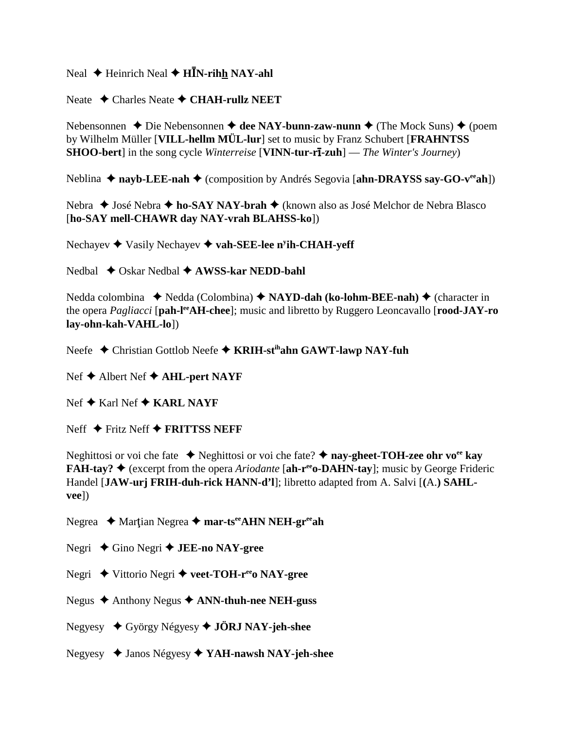Neal ♦ Heinrich Neal ♦ **HĪN-rih<u>h</u> NAY-ahl** 

Neate **→ Charles Neate → CHAH-rullz NEET** 

Nebensonnen ◆ Die Nebensonnen ◆ dee NAY-bunn-zaw-nunn ◆ (The Mock Suns) ◆ (poem by Wilhelm Müller [**VILL-hellm MÜL-lur**] set to music by Franz Schubert [**FRAHNTSS SHOO-bert**] in the song cycle *Winterreise* [**VINN-tur-r-zuh**] — *The Winter's Journey*)

Neblina ◆ nayb-LEE-nah ◆ (composition by Andrés Segovia [ahn-DRAYSS say-GO-v<sup>ee</sup>ah])

Nebra ◆ José Nebra ◆ ho-SAY NAY-brah ◆ (known also as José Melchor de Nebra Blasco [**ho-SAY mell-CHAWR day NAY-vrah BLAHSS-ko**])

Nechayev ◆ Vasily Nechayev ◆ vah-SEE-lee n<sup>y</sup>ih-CHAH-yeff

Nedbal **→** Oskar Nedbal ◆ **AWSS-kar NEDD-bahl** 

Nedda colombina ◆ Nedda (Colombina) ◆ NAYD-dah (ko-lohm-BEE-nah) ◆ (character in the opera *Pagliacci* [**pah-leeAH-chee**]; music and libretto by Ruggero Leoncavallo [**rood-JAY-ro lay-ohn-kah-VAHL-lo**])

Neefe **→** Christian Gottlob Neefe → **KRIH-st<sup>ih</sup>ahn GAWT-lawp NAY-fuh** 

- Nef **→** Albert Nef **→ AHL-pert NAYF**
- Nef **→** Karl Nef **→ KARL NAYF**

Neff **←** Fritz Neff **← FRITTSS NEFF** 

Neghittosi or voi che fate 
in Neghittosi or voi che fate? 
in nay-gheet-TOH-zee ohr vo<sup>ee</sup> kay **FAH-tay? ♦** (excerpt from the opera *Ariodante* [ah-r<sup>ee</sup>o-DAHN-tay]; music by George Frideric Handel [**JAW-urj FRIH-duh-rick HANN-d'l**]; libretto adapted from A. Salvi [**(**A.**) SAHLvee**])

Negrea ◆ Martian Negrea ◆ mar-ts<sup>ee</sup>AHN NEH-gr<sup>ee</sup>ah

Negri **→** Gino Negri → **JEE-no NAY-gree** 

Negri **→** Vittorio Negri → veet-TOH-r<sup>ee</sup> o NAY-gree

- Negus Anthony Negus **ANN-thuh-nee NEH-guss**
- Negyesy György Négyesy **JÖRJ NAY-jeh-shee**
- Negyesy Janos Négyesy **YAH-nawsh NAY-jeh-shee**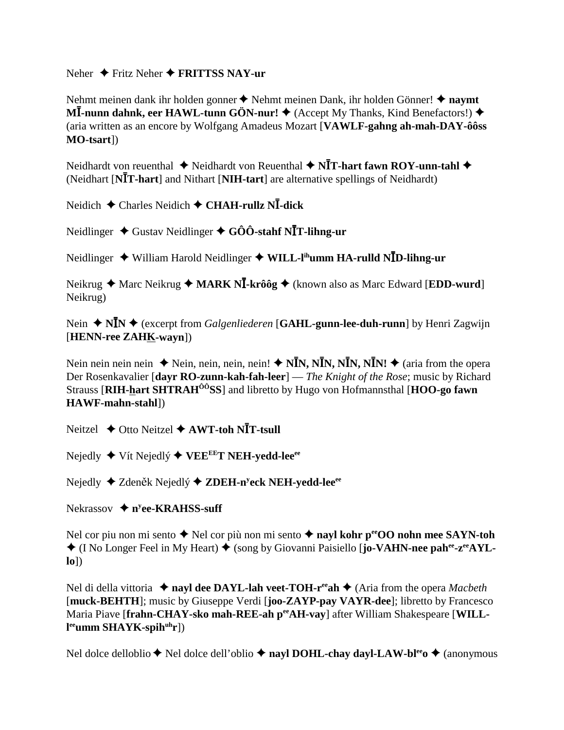### Neher  $\triangle$  Fritz Neher  $\triangle$  FRITTSS NAY-ur

Nehmt meinen dank ihr holden gonner ◆ Nehmt meinen Dank, ihr holden Gönner! ◆ navmt MI-nunn dahnk, eer HAWL-tunn GÖN-nur!  $\blacklozenge$  (Accept My Thanks, Kind Benefactors!)  $\blacklozenge$ (aria written as an encore by Wolfgang Amadeus Mozart [VAWLF-gahng ah-mah-DAY-ôôss  $MO$ -tsart])

Neidhardt von reuenthal  $\triangleq$  Neidhardt von Reuenthal  $\triangleq$  N**I**T-hart fawn ROY-unn-tahl  $\triangleq$ (Neidhart [NIT-hart] and Nithart [NIH-tart] are alternative spellings of Neidhardt)

Neidich  $\triangle$  Charles Neidich  $\triangle$  CHAH-rullz NI-dick

Neidlinger  $\triangleleft$  Gustav Neidlinger  $\triangleleft$  GÔÔ-stahf NIT-lihng-ur

Neidlinger ◆ William Harold Neidlinger ◆ WILL-l<sup>ih</sup>umm HA-rulld NID-lihng-ur

Neikrug ◆ Marc Neikrug ◆ MARK NĪ-krôôg ◆ (known also as Marc Edward [EDD-wurd] Neikrug)

Nein ◆ N $\bar{I}N$  ◆ (excerpt from *Galgenliederen* [GAHL-gunn-lee-duh-runn] by Henri Zagwijn [HENN-ree ZAHK-wayn])

Nein nein nein nein  $\triangle$  Nein, nein, nein, nein!  $\triangle$  N**I**N, N**I**N, N**I**N, N**I**N!  $\triangle$  (aria from the opera Der Rosenkavalier [dayr RO-zunn-kah-fah-leer] — The Knight of the Rose; music by Richard Strauss [RIH-hart SHTRAH<sup>00</sup>SS] and libretto by Hugo von Hofmannsthal [HOO-go fawn HAWF-mahn-stahl])

Neitzel  $\triangle$  Otto Neitzel  $\triangle$  AWT-toh NIT-tsull

Nejedly ◆ Vít Nejedlý ◆ VEE<sup>EE</sup>T NEH-yedd-lee<sup>ee</sup>

Nejedly → Zdeněk Nejedlý → ZDEH-n<sup>y</sup>eck NEH-yedd-lee<sup>ee</sup>

Nekrassov  $\triangleq$  n<sup>y</sup>ee-KRAHSS-suff

Nel cor piu non mi sento  $\triangle$  Nel cor più non mi sento  $\triangle$  nayl kohr pero non mee SAYN-toh  $\triangleq$  (I No Longer Feel in My Heart)  $\triangleq$  (song by Giovanni Paisiello [jo-VAHN-nee pahee- $z^{\rm ee}$ AYL- $\text{Io}()$ 

Nel di della vittoria  $\triangle$  nayl dee DAYL-lah veet-TOH-r<sup>ee</sup>ah  $\triangle$  (Aria from the opera *Macbeth* [muck-BEHTH]; music by Giuseppe Verdi [**joo-ZAYP-pay VAYR-dee**]; libretto by Francesco Maria Piave [frahn-CHAY-sko mah-REE-ah per AH-vay] after William Shakespeare [WILL- $\mathbf{I}^{\text{ee}}$ umm SHAYK-spih $^{\text{uh}}$ r])

Nel dolce delloblio  $\blacklozenge$  Nel dolce dell'oblio  $\blacklozenge$  nayl DOHL-chay dayl-LAW-bl<sup>ee</sup>  $\blacklozenge$  (anonymous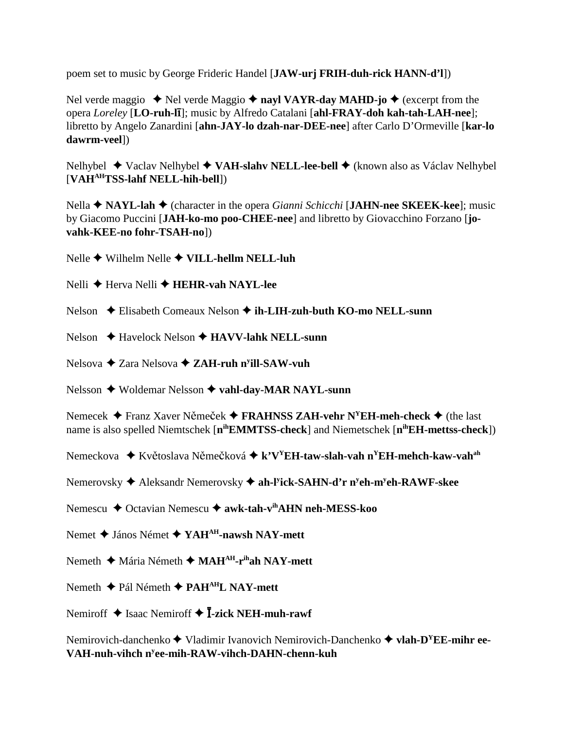poem set to music by George Frideric Handel [**JAW-urj FRIH-duh-rick HANN-d'l**])

Nel verde maggio  $\triangle$  Nel verde Maggio  $\triangle$  nayl VAYR-day MAHD-jo  $\triangle$  (excerpt from the opera *Loreley* [**LO-ruh-l**]; music by Alfredo Catalani [**ahl-FRAY-doh kah-tah-LAH-nee**]; libretto by Angelo Zanardini [**ahn-JAY-lo dzah-nar-DEE-nee**] after Carlo D'Ormeville [**kar-lo dawrm-veel**])

Nelhybel ◆ Vaclav Nelhybel ◆ **VAH-slahv NELL-lee-bell** ◆ (known also as Václav Nelhybel [**VAHAHTSS-lahf NELL-hih-bell**])

Nella **↑ NAYL-lah ◆** (character in the opera *Gianni Schicchi* [JAHN-nee SKEEK-kee]; music by Giacomo Puccini [**JAH-ko-mo poo-CHEE-nee**] and libretto by Giovacchino Forzano [**jovahk-KEE-no fohr-TSAH-no**])

Nelle Wilhelm Nelle **VILL-hellm NELL-luh**

Nelli **←** Herva Nelli ← **HEHR-vah NAYL-lee** 

- Nelson  **←** Elisabeth Comeaux Nelson ← **ih-LIH-zuh-buth KO-mo NELL-sunn**
- Nelson **←** Havelock Nelson ← **HAVV-lahk NELL-sunn**
- Nelsova ◆ Zara Nelsova ◆ ZAH-ruh n<sup>y</sup>ill-SAW-vuh

Nelsson **→** Woldemar Nelsson ◆ vahl-day-MAR NAYL-sunn

Nemecek  $\triangle$  Franz Xaver Němeček  $\triangle$  **FRAHNSS ZAH-vehr N<sup>Y</sup>EH-meh-check**  $\triangle$  (the last name is also spelled Niemtschek [**nihEMMTSS-check**] and Niemetschek [**nihEH-mettss-check**])

Nemeckova ◆ Květoslava Němečková ◆ k'V<sup>Y</sup>EH-taw-slah-vah n<sup>Y</sup>EH-mehch-kaw-vah<sup>ah</sup>

Nemerovsky Aleksandr Nemerovsky **ah-ly ick-SAHN-d'r ny eh-my eh-RAWF-skee**

Nemescu **→** Octavian Nemescu → awk-tah-v<sup>ih</sup>AHN neh-MESS-koo

Nemet **→** János Német **→ YAH<sup>AH</sup>-nawsh NAY-mett** 

- Nemeth **→** Mária Németh ◆ MAH<sup>AH</sup>-r<sup>ih</sup>ah NAY-mett
- Nemeth **← Pál Németh ← PAH<sup>AH</sup>L NAY-mett**

Nemiroff  $\triangleq$  Isaac Nemiroff  $\triangleq$  **I-zick NEH-muh-rawf** 

Nemirovich-danchenko ◆ Vladimir Ivanovich Nemirovich-Danchenko ◆ vlah-D<sup>Y</sup>EE-mihr ee-**VAH-nuh-vihch ny ee-mih-RAW-vihch-DAHN-chenn-kuh**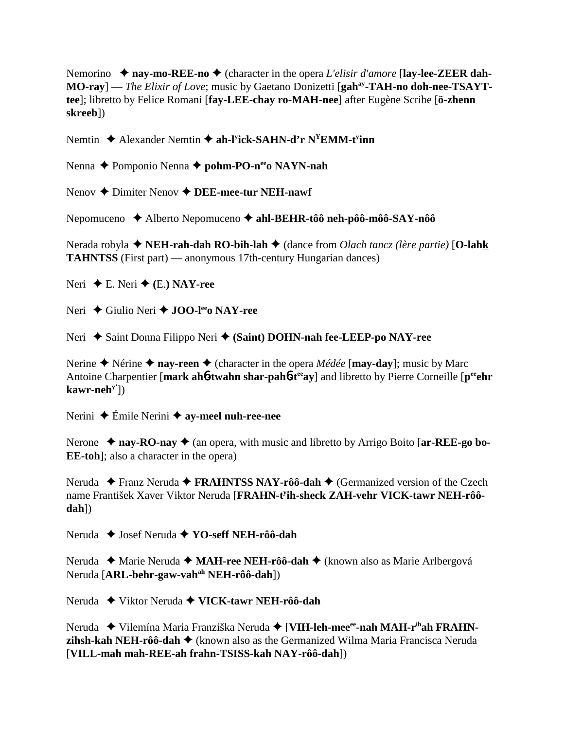Nemorino **→ nay-mo-REE-no →** (character in the opera *L'elisir d'amore* [**lay-lee-ZEER dah-**MO-ray] — *The Elixir of Love*; music by Gaetano Donizetti [gah<sup>ay</sup>-TAH-no doh-nee-TSAYT**tee**]; libretto by Felice Romani [**fay-LEE-chay ro-MAH-nee**] after Eugène Scribe [**ö-zhenn skreeb**])

Nemtin  $\triangle$  Alexander Nemtin  $\triangle$  ah-l<sup>y</sup>ick-SAHN-d'r N<sup>Y</sup>EMM-t<sup>y</sup>inn

Nenna **←** Pomponio Nenna ← pohm-PO-n<sup>ee</sup>o NAYN-nah

Nenov **→** Dimiter Nenov **→ DEE-mee-tur NEH-nawf** 

Nepomuceno Alberto Nepomuceno **ahl-BEHR-tôô neh-pôô-môô-SAY-nôô**

Nerada robyla **→ NEH-rah-dah RO-bih-lah →** (dance from *Olach tancz (lère partie)* [**O-lahk TAHNTSS** (First part) — anonymous 17th-century Hungarian dances)

Neri  $\blacklozenge$  **E.** Neri  $\blacklozenge$  (**E.**) **NAY-ree** 

Neri **→** Giulio Neri → **JOO-l<sup>ee</sup>o NAY-ree** 

Neri ◆ Saint Donna Filippo Neri ◆ (Saint) DOHN-nah fee-LEEP-po NAY-ree

Nerine  $\triangle$  Nérine  $\triangle$  nay-reen  $\triangle$  (character in the opera *Médée* [**may-day**]; music by Marc Antoine Charpentier [mark ah**6**-twahn shar-pah**6**-t<sup>ee</sup>ay] and libretto by Pierre Corneille [p<sup>ee</sup>ehr] **kawr-nehy'**])

Nerini **→** Émile Nerini **→ av-meel nuh-ree-nee** 

Nerone  $\triangle$  nay-RO-nay  $\triangle$  (an opera, with music and libretto by Arrigo Boito [ar-REE-go bo-**EE-toh**]; also a character in the opera)

Neruda ◆ Franz Neruda ◆ FRAHNTSS NAY-rôô-dah ◆ (Germanized version of the Czech name František Xaver Viktor Neruda [**FRAHN-ty ih-sheck ZAH-vehr VICK-tawr NEH-rôôdah**])

Neruda ◆ Josef Neruda **◆ YO-seff NEH-rôô-dah** 

Neruda ◆ Marie Neruda ◆ **MAH-ree NEH-rôô-dah** ◆ (known also as Marie Arlbergová Neruda [**ARL-behr-gaw-vahah NEH-rôô-dah**])

Neruda Viktor Neruda **VICK-tawr NEH-rôô-dah**

Neruda ◆ Vilemína Maria Franziška Neruda ◆ [VIH-leh-mee<sup>ee</sup>-nah MAH-r<sup>ih</sup>ah FRAHN**zihsh-kah NEH-rôô-dah →** (known also as the Germanized Wilma Maria Francisca Neruda [**VILL-mah mah-REE-ah frahn-TSISS-kah NAY-rôô-dah**])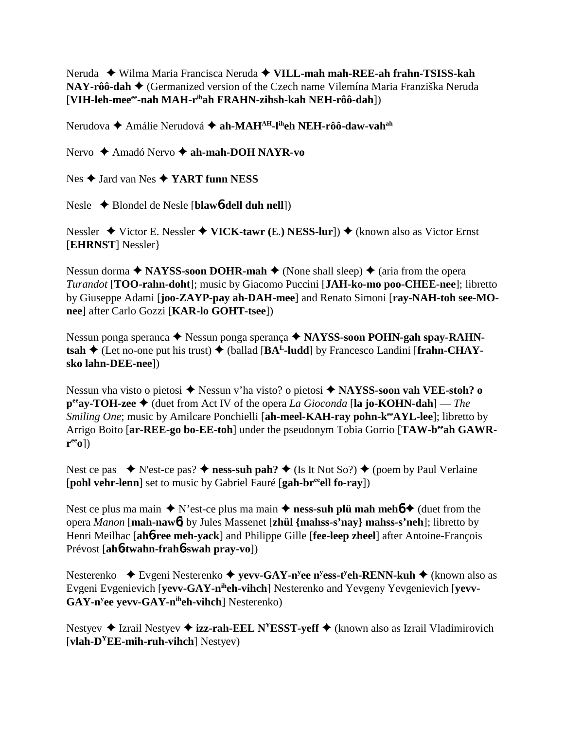Neruda Wilma Maria Francisca Neruda **VILL-mah mah-REE-ah frahn-TSISS-kah NAY-rôô-dah ◆** (Germanized version of the Czech name Vilemína Maria Franziška Neruda [**VIH-leh-meeee-nah MAH-rihah FRAHN-zihsh-kah NEH-rôô-dah**])

Nerudova **←** Amálie Nerudová ← ah-MAH<sup>AH</sup>-l<sup>ih</sup>eh NEH-rôô-daw-vah<sup>ah</sup>

Nervo **→** Amadó Nervo **→ ah-mah-DOH NAYR-vo** 

Nes **→** Jard van Nes **→ YART funn NESS** 

Nesle Blondel de Nesle [**blaw**6**-dell duh nell**])

Nessler ◆ Victor E. Nessler ◆ **VICK-tawr** (E.) **NESS-lur**]) ◆ (known also as Victor Ernst [**EHRNST**] Nessler}

Nessun dorma  $\triangle$  **NAYSS-soon DOHR-mah**  $\triangle$  (None shall sleep)  $\triangle$  (aria from the opera *Turandot* [**TOO-rahn-doht**]; music by Giacomo Puccini [**JAH-ko-mo poo-CHEE-nee**]; libretto by Giuseppe Adami [**joo-ZAYP-pay ah-DAH-mee**] and Renato Simoni [**ray-NAH-toh see-MOnee**] after Carlo Gozzi [**KAR-lo GOHT-tsee**])

Nessun ponga speranca **→** Nessun ponga sperança → NAYSS-soon POHN-gah spay-RAHN $t$ **sah**  $\blacklozenge$  (Let no-one put his trust)  $\blacklozenge$  (ballad [BA<sup>L</sup>-ludd] by Francesco Landini [frahn-CHAY**sko lahn-DEE-nee**])

Nessun vha visto o pietosi ◆ Nessun v'ha visto? o pietosi ◆ NAYSS-soon vah VEE-stoh? o **peeay-TOH-zee** (duet from Act IV of the opera *La Gioconda* [**la jo-KOHN-dah**] — *The Smiling One*; music by Amilcare Ponchielli [ah-meel-KAH-ray pohn-k<sup>ee</sup>AYL-lee]; libretto by Arrigo Boito [ar-REE-go bo-EE-toh] under the pseudonym Tobia Gorrio [TAW-b<sup>ee</sup>ah GAWR**reeo**])

Nest ce pas  $\bullet$  N'est-ce pas?  $\bullet$  ness-suh pah?  $\bullet$  (Is It Not So?)  $\bullet$  (poem by Paul Verlaine [**pohl vehr-lenn**] set to music by Gabriel Fauré [**gah-breeell fo-ray**])

Nest ce plus ma main  $\triangle$  N'est-ce plus ma main  $\triangle$  **ness-suh plü mah mehó**  $\triangle$  (duet from the opera *Manon* [**mah-naw**6] by Jules Massenet [**zhül {mahss-s'nay} mahss-s'neh**]; libretto by Henri Meilhac [**ah**6**-ree meh-yack**] and Philippe Gille [**fee-leep zheel**] after Antoine-François Prévost [**ah**6**-twahn-frah**6**-swah pray-vo**])

Nesterenko **→** Evgeni Nesterenko → yevv-GAY-n<sup>y</sup>ee n<sup>y</sup>ess-t<sup>y</sup>eh-RENN-kuh → (known also as Evgeni Evgenievich [**yevv-GAY-niheh-vihch**] Nesterenko and Yevgeny Yevgenievich [**yevv-**GAY-n<sup>y</sup>ee yevv-GAY-n<sup>ih</sup>eh-vihch] Nesterenko)

Nestyev  $\triangle$  Izrail Nestyev  $\triangle$  **izz-rah-EEL N<sup>Y</sup>ESST-yeff**  $\triangle$  (known also as Izrail Vladimirovich [**vlah-DYEE-mih-ruh-vihch**] Nestyev)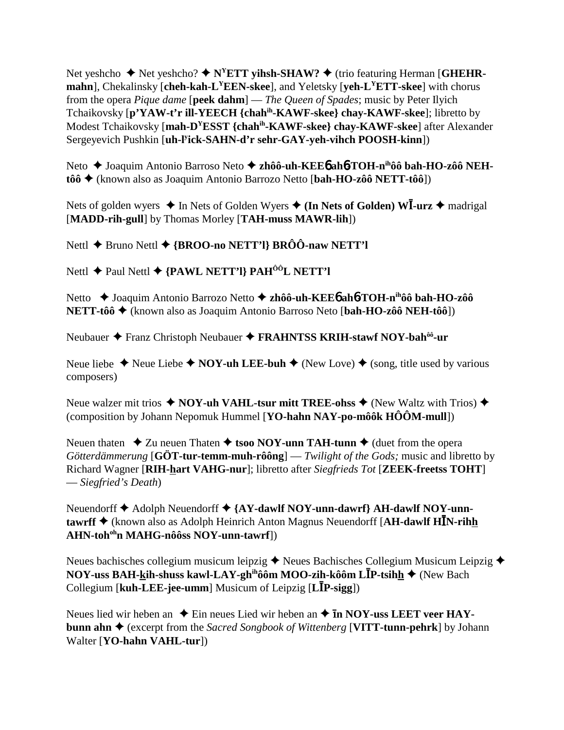Net yeshcho ◆ Net yeshcho? ◆ N<sup>Y</sup>ETT yihsh-SHAW? ◆ (trio featuring Herman [GHEHR**mahn**], Chekalinsky [**cheh-kah-LYEEN-skee**], and Yeletsky [**yeh-LYETT-skee**] with chorus from the opera *Pique dame* [**peek dahm**] — *The Queen of Spades*; music by Peter Ilyich Tchaikovsky [**p'YAW-t'r ill-YEECH {chahih-KAWF-skee} chay-KAWF-skee**]; libretto by Modest Tchaikovsky [**mah-DYESST {chahih-KAWF-skee} chay-KAWF-skee**] after Alexander Sergeyevich Pushkin [**uh-ly ick-SAHN-d'r sehr-GAY-yeh-vihch POOSH-kinn**])

Neto ◆ Joaquim Antonio Barroso Neto ◆ zhôô-uh-KEE6 ah6-TOH-n<sup>ih</sup>ôô bah-HO-zôô NEH**tôô** (known also as Joaquim Antonio Barrozo Netto [**bah-HO-zôô NETT-tôô**])

Nets of golden wyers ◆ In Nets of Golden Wyers ◆ (In Nets of Golden) WI-urz ◆ madrigal [**MADD-rih-gull**] by Thomas Morley [**TAH-muss MAWR-lih**])

Nettl **→** Bruno Nettl **→ {BROO-no NETT'l} BRÔÔ-naw NETT'l** 

Nettl **←** Paul Nettl ← {PAWL NETT'l} PAH<sup>ÔÔ</sup>L NETT'l

Netto Joaquim Antonio Barrozo Netto **zhôô-uh-KEE**6 **ah**6**-TOH-nihôô bah-HO-zôô NETT-tôô** (known also as Joaquim Antonio Barroso Neto [**bah-HO-zôô NEH-tôô**])

Neubauer ◆ Franz Christoph Neubauer ◆ FRAHNTSS KRIH-stawf NOY-bah<sup>ôô</sup>-ur

Neue liebe  $\triangle$  Neue Liebe  $\triangle$  **NOY-uh LEE-buh**  $\triangle$  (New Love)  $\triangle$  (song, title used by various composers)

Neue walzer mit trios  $\triangle$  NOY-uh VAHL-tsur mitt TREE-ohss  $\triangle$  (New Waltz with Trios)  $\triangle$ (composition by Johann Nepomuk Hummel [**YO-hahn NAY-po-môôk HÔÔM-mull**])

Neuen thaten  $\triangle$  Zu neuen Thaten  $\triangle$  tsoo NOY-unn TAH-tunn  $\triangle$  (duet from the opera *Götterdämmerung* [**GÖT-tur-temm-muh-rôông**] — *Twilight of the Gods;* music and libretto by Richard Wagner [**RIH-hart VAHG-nur**]; libretto after *Siegfrieds Tot* [**ZEEK-freetss TOHT**] — *Siegfried's Death*)

Neuendorff **◆** Adolph Neuendorff ◆ {AY-dawlf NOY-unn-dawrf} AH-dawlf NOY-unn**tawrff ♦** (known also as Adolph Heinrich Anton Magnus Neuendorff [AH-dawlf HIN-rihh **AHN-tohohn MAHG-nôôss NOY-unn-tawrf**])

Neues bachisches collegium musicum leipzig  $\triangle$  Neues Bachisches Collegium Musicum Leipzig  $\triangle$ **NOY-uss BAH-<u>k</u>ih-shuss kawl-LAY-gh<sup>ih</sup>ôôm MOO-zih-kôôm LĪP-tsih<u>h</u> ♦ (New Bach** Collegium [**kuh-LEE-jee-umm**] Musicum of Leipzig [L**IP-sigg**])

Neues lied wir heben an  $\triangle$  Ein neues Lied wir heben an  $\triangle$  **In NOY-uss LEET veer HAYbunn ahn** (excerpt from the *Sacred Songbook of Wittenberg* [**VITT-tunn-pehrk**] by Johann Walter [**YO-hahn VAHL-tur**])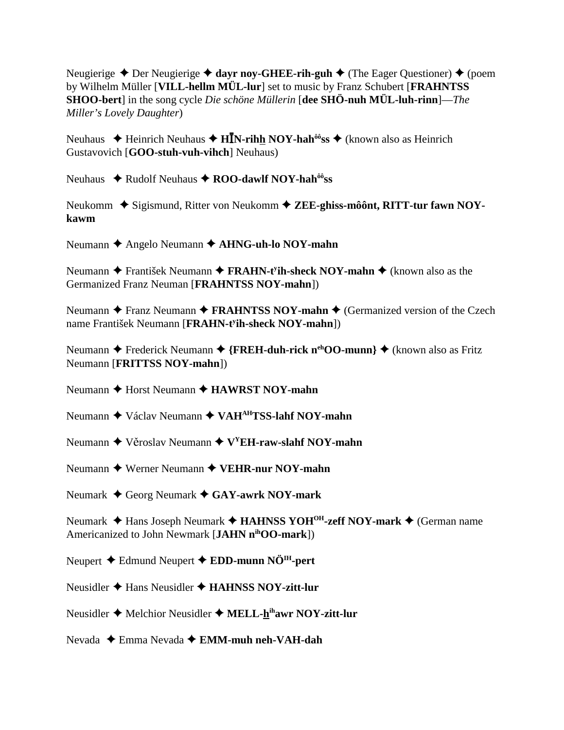Neugierige ◆ Der Neugierige ◆ davr nov-GHEE-rih-guh ◆ (The Eager Ouestioner) ◆ (poem by Wilhelm Müller [VILL-hellm MÜL-lur] set to music by Franz Schubert [FRAHNTSS] **SHOO-bert**] in the song cycle *Die schöne Müllerin* [dee SHÖ-nuh MÜL-luh-rinn]—*The* Miller's Lovely Daughter)

Neuhaus  $\triangleq$  Heinrich Neuhaus  $\triangleq$  H**I**N-rihh NOY-hah<sup>ô</sup>s  $\triangleq$  (known also as Heinrich Gustavovich [GOO-stuh-vuh-vihch] Neuhaus)

Neuhaus ◆ Rudolf Neuhaus ◆ ROO-dawlf NOY-hah<sup>ôô</sup>ss

Neukomm  $\triangle$  Sigismund, Ritter von Neukomm  $\triangle$  ZEE-ghiss-môônt, RITT-tur fawn NOYkawm

Neumann ← Angelo Neumann ← AHNG-uh-lo NOY-mahn

Neumann  $\triangle$  František Neumann  $\triangle$  FRAHN-t<sup>y</sup>ih-sheck NOY-mahn  $\triangle$  (known also as the Germanized Franz Neuman [FRAHNTSS NOY-mahn])

Neumann  $\triangle$  Franz Neumann  $\triangle$  FRAHNTSS NOY-mahn  $\triangle$  (Germanized version of the Czech name František Neumann [FRAHN-t<sup>y</sup>ih-sheck NOY-mahn])

Neumann ← Frederick Neumann ← {FREH-duh-rick n<sup>eh</sup>OO-munn} ← (known also as Fritz Neumann [FRITTSS NOY-mahn])

Neumann  $\triangle$  Horst Neumann  $\triangle$  **HAWRST NOY-mahn** 

Neumann ◆ Václav Neumann ◆ VAH<sup>AH</sup>TSS-lahf NOY-mahn

Neumann  $\triangle$  Věroslav Neumann  $\triangle$  V<sup>Y</sup>EH-raw-slahf NOY-mahn

Neumann  $\triangle$  Werner Neumann  $\triangle$  VEHR-nur NOY-mahn

Neumark  $\triangle$  Georg Neumark  $\triangle$  GAY-awrk NOY-mark

Neumark ◆ Hans Joseph Neumark ◆ HAHNSS YOH<sup>OH</sup>-zeff NOY-mark ◆ (German name Americanized to John Newmark [JAHN n<sup>ih</sup>OO-mark])

Neupert  $\triangle$  Edmund Neupert  $\triangle$  EDD-munn NÖ<sup>IH</sup>-pert

Neusidler  $\triangle$  Hans Neusidler  $\triangle$  HAHNSS NOY-zitt-lur

Neusidler  $\blacklozenge$  Melchior Neusidler  $\blacklozenge$  MELL-h<sup>ih</sup>awr NOY-zitt-lur

Nevada  $\triangle$  Emma Nevada  $\triangle$  EMM-muh neh-VAH-dah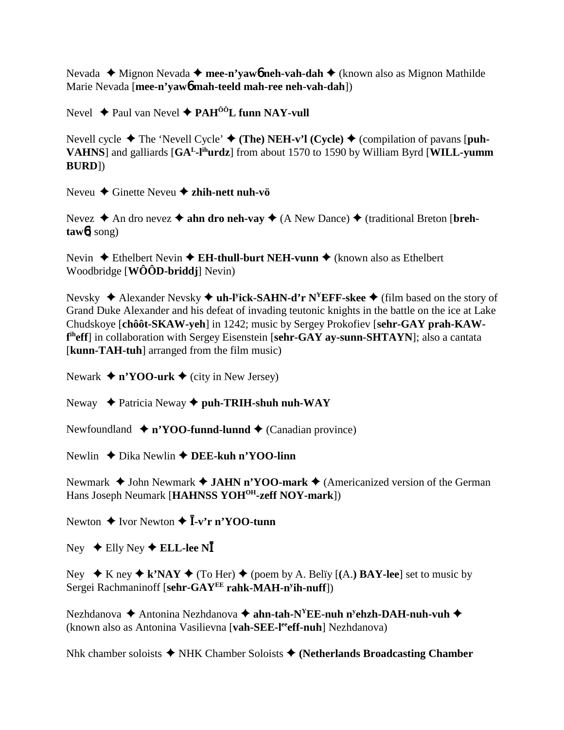Nevada ◆ Mignon Nevada ◆ **mee-n'yaw6** neh-vah-dah ◆ (known also as Mignon Mathilde Marie Nevada [**mee-n'yaw**6 **mah-teeld mah-ree neh-vah-dah**])

Nevel **→** Paul van Nevel **→ PAH<sup>ôô</sup>L funn NAY-vull** 

Nevell cycle  $\blacklozenge$  The 'Nevell Cycle'  $\blacklozenge$  (The) NEH-v'l (Cycle)  $\blacklozenge$  (compilation of pavans [puh-**VAHNS**] and galliards [**GAL-lihurdz**] from about 1570 to 1590 by William Byrd [**WILL-yumm BURD**])

Neveu Ginette Neveu **zhih-nett nuh-vö**

Nevez  $\triangle$  An dro nevez  $\triangle$  ahn dro neh-vay  $\triangle$  (A New Dance)  $\triangle$  (traditional Breton [breh**taw**6] song)

Nevin ◆ Ethelbert Nevin ◆ **EH-thull-burt NEH-vunn** ◆ (known also as Ethelbert Woodbridge [**WÔÔD-briddj**] Nevin)

Nevsky ◆ Alexander Nevsky ◆ uh-l<sup>y</sup>ick-SAHN-d'r N<sup>Y</sup>EFF-skee ◆ (film based on the story of Grand Duke Alexander and his defeat of invading teutonic knights in the battle on the ice at Lake Chudskoye [**chôôt-SKAW-yeh**] in 1242; music by Sergey Prokofiev [**sehr-GAY prah-KAWf iheff**] in collaboration with Sergey Eisenstein [**sehr-GAY ay-sunn-SHTAYN**]; also a cantata [**kunn-TAH-tuh**] arranged from the film music)

Newark  $\triangleq$  n'YOO-urk  $\triangleq$  (city in New Jersey)

Neway **→** Patricia Neway ◆ puh-TRIH-shuh nuh-WAY

Newfoundland  $\bullet$  n'YOO-funnd-lunnd  $\bullet$  (Canadian province)

Newlin ◆ Dika Newlin **◆ DEE-kuh n'YOO-linn** 

Newmark  $\triangle$  John Newmark  $\triangle$  **JAHN n'YOO-mark**  $\triangle$  (Americanized version of the German Hans Joseph Neumark [**HAHNSS YOHOH-zeff NOY-mark**])

Newton ◆ Ivor Newton ◆ **Ī-v'r n'YOO-tunn** 

 $Ney \triangleq$  Elly  $Ney \triangleq$  **ELL-lee N** 

Ney  $\star$  K ney  $\star$  k'NAY  $\star$  (To Her)  $\star$  (poem by A. Belïy [(A.) BAY-lee] set to music by Sergei Rachmaninoff [**sehr-GAYEE rahk-MAH-ny ih-nuff**])

Nezhdanova ◆ Antonina Nezhdanova ◆ **ahn-tah-N<sup>Y</sup>EE-nuh n<sup>y</sup>ehzh-DAH-nuh-vuh ◆** (known also as Antonina Vasilievna [**vah-SEE-leeeff-nuh**] Nezhdanova)

Nhk chamber soloists NHK Chamber Soloists **(Netherlands Broadcasting Chamber**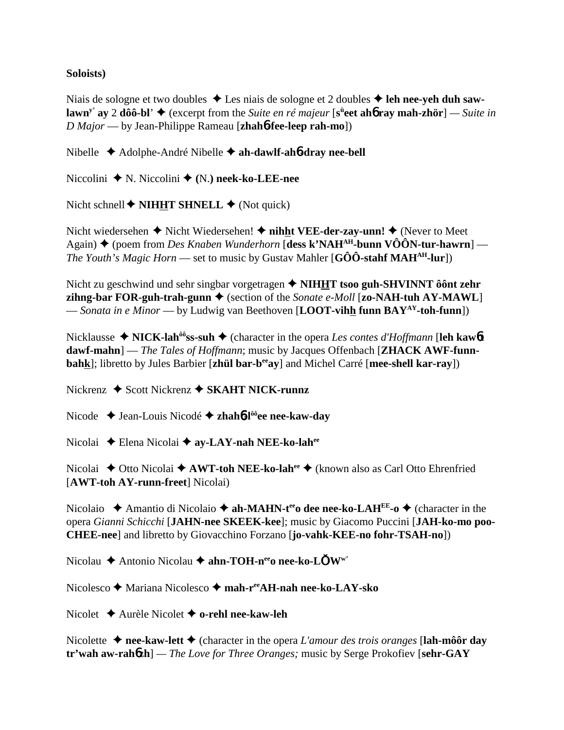### Soloists)

Niais de sologne et two doubles  $\triangle$  Les niais de sologne et 2 doubles  $\triangle$  leh nee-veh duh saw**lawn<sup>y</sup>** av 2 dôô-bl'  $\triangleq$  (excerpt from the *Suite en ré majeur* [s<sup>ii</sup>eet aho ray mah-zhör] — *Suite in*  $D$  Major — by Jean-Philippe Rameau [zhah**ó-fee-leep rah-mo**])

Nibelle  $\triangle$  Adolphe-André Nibelle  $\triangle$  ah-dawlf-ah**6-dray nee-bell** 

Niccolini ♦ N. Niccolini ♦ (N.) neek-ko-LEE-nee

Nicht schnell  $\blacklozenge$  **NIHHT SHNELL**  $\blacklozenge$  (Not quick)

Nicht wiedersehen  $\blacklozenge$  Nicht Wiedersehen!  $\blacklozenge$  nicht VEE-der-zay-unn!  $\blacklozenge$  (Never to Meet Again) ♦ (poem from Des Knaben Wunderhorn [dess k'NAH<sup>AH</sup>-bunn VÔÔN-tur-hawrn] — *The Youth's Magic Horn* — set to music by Gustav Mahler  $[G\hat{O}\hat{O}$ -stahf MAH<sup>AH</sup>-lur])

Nicht zu geschwind und sehr singbar vorgetragen  $\triangle$  NIHHT tsoo guh-SHVINNT ôont zehr zihng-bar FOR-guh-trah-gunn  $\blacklozenge$  (section of the *Sonate e-Moll* [zo-NAH-tuh AY-MAWL] — Sonata in e Minor — by Ludwig van Beethoven [LOOT-vihh funn  $BAY^{AY}$ -toh-funn])

Nicklausse  $\triangle$  NICK-lah<sup>ôô</sup>ss-suh  $\triangle$  (character in the opera Les contes d'Hoffmann [leh kawbt] dawf-mahn] — The Tales of Hoffmann; music by Jacques Offenbach [ZHACK AWF-funnbahk]; libretto by Jules Barbier [zhül bar-b<sup>ee</sup>ay] and Michel Carré [mee-shell kar-ray])

Nickrenz  $\triangle$  Scott Nickrenz  $\triangle$  SKAHT NICK-runnz

Nicode → Jean-Louis Nicodé → zhahó-l<sup>ôô</sup>ee nee-kaw-day

Nicolai  $\triangle$  Elena Nicolai  $\triangle$  av-LAY-nah NEE-ko-lah<sup>ee</sup>

Nicolai ◆ Otto Nicolai ◆ AWT-toh NEE-ko-lah<sup>ee</sup> ◆ (known also as Carl Otto Ehrenfried [AWT-toh AY-runn-freet] Nicolai)

Nicolaio  $\triangle$  Amantio di Nicolaio  $\triangle$  ah-MAHN-t<sup>ee</sup> dee nee-ko-LAH<sup>EE</sup>-o  $\triangle$  (character in the opera Gianni Schicchi [JAHN-nee SKEEK-kee]; music by Giacomo Puccini [JAH-ko-mo poo-**CHEE-nee**] and libretto by Giovacchino Forzano [jo-vahk-KEE-no fohr-TSAH-no])

Nicolau ◆ Antonio Nicolau ◆ ahn-TOH-n<sup>ee</sup>o nee-ko-LŎW<sup>w'</sup>

Nicolesco  $\blacklozenge$  Mariana Nicolesco  $\blacklozenge$  mah-r<sup>ee</sup>AH-nah nee-ko-LAY-sko

Nicolet  $\triangle$  Aurèle Nicolet  $\triangle$  o-rehl nee-kaw-leh

Nicolette  $\triangle$  nee-kaw-lett  $\triangle$  (character in the opera L'amour des trois oranges [lah-môôr day  $tr'$ wah aw-rahózh] — The Love for Three Oranges; music by Serge Prokofiev [sehr-GAY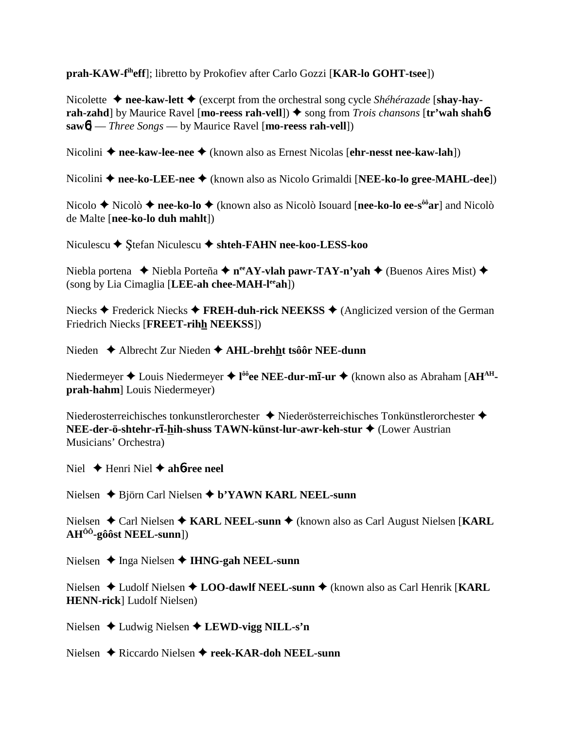**prah-KAW-fiheff**]; libretto by Prokofiev after Carlo Gozzi [**KAR-lo GOHT-tsee**])

Nicolette **→ nee-kaw-lett →** (excerpt from the orchestral song cycle *Shéhérazade* [shay-hay**rah-zahd**] by Maurice Ravel [**mo-reess rah-vell**]) ♦ song from *Trois chansons* [**tr'wah shah**6**saw**6] — *Three Songs* — by Maurice Ravel [**mo-reess rah-vell**])

Nicolini ◆ nee-kaw-lee-nee ◆ (known also as Ernest Nicolas [ehr-nesst nee-kaw-lah])

Nicolini ◆ nee-ko-LEE-nee ◆ (known also as Nicolo Grimaldi [**NEE-ko-lo gree-MAHL-dee**])

Nicolo **→** Nicolò → nee-ko-lo → (known also as Nicolò Isouard [nee-ko-lo ee-s<sup>ôô</sup>ar] and Nicolò de Malte [**nee-ko-lo duh mahlt**])

Niculescu **→** Stefan Niculescu **→ shteh-FAHN nee-koo-LESS-koo** 

Niebla portena  **→** Niebla Porteña **→ n<sup>ee</sup>AY-vlah pawr-TAY-n'yah →** (Buenos Aires Mist) ◆ (song by Lia Cimaglia [**LEE-ah chee-MAH-leeah**])

Niecks **→** Frederick Niecks **→ FREH-duh-rick NEEKSS** → (Anglicized version of the German Friedrich Niecks [**FREET-rihh NEEKSS**])

Nieden ◆ Albrecht Zur Nieden ◆ **AHL-brehht tsôôr NEE-dunn** 

Niedermeyer  $\triangle$  Louis Niedermeyer  $\triangle$  l<sup>ôô</sup>ee NEE-dur-mī-ur  $\triangle$  (known also as Abraham [AH<sup>AH</sup>**prah-hahm**] Louis Niedermeyer)

Niederosterreichisches tonkunstlerorchester  $\blacklozenge$  Niederösterreichisches Tonkünstlerorchester  $\blacklozenge$ **NEE-der-ö-shtehr-r-hih-shuss TAWN-künst-lur-awr-keh-stur** (Lower Austrian Musicians' Orchestra)

Niel  $\triangle$  Henri Niel  $\triangle$  ah**6**-ree neel

Nielsen Björn Carl Nielsen **b'YAWN KARL NEEL-sunn**

Nielsen ◆ Carl Nielsen ◆ KARL NEEL-sunn ◆ (known also as Carl August Nielsen [KARL **AHÔÔ-gôôst NEEL-sunn**])

Nielsen **→** Inga Nielsen ◆ **IHNG-gah NEEL-sunn** 

Nielsen Ludolf Nielsen **LOO-dawlf NEEL-sunn** (known also as Carl Henrik [**KARL HENN-rick**] Ludolf Nielsen)

Nielsen Ludwig Nielsen **LEWD-vigg NILL-s'n**

Nielsen **→** Riccardo Nielsen → reek-KAR-doh NEEL-sunn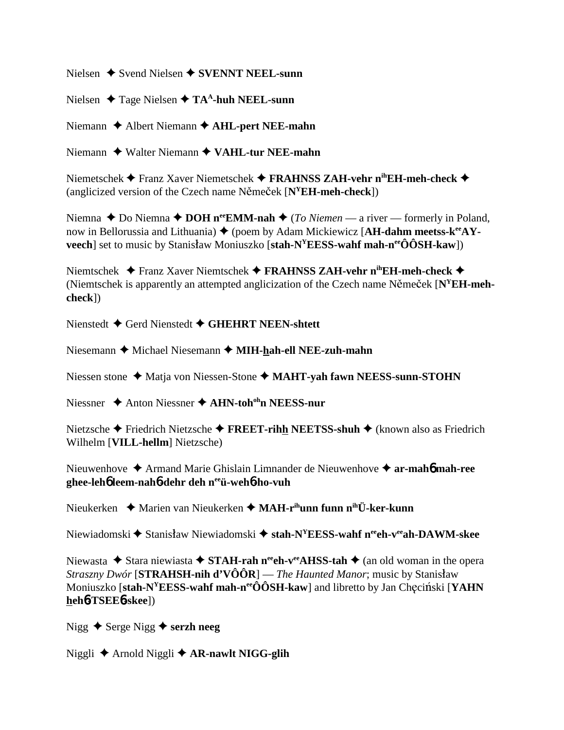Nielsen  $\triangle$  Svend Nielsen  $\triangle$  SVENNT NEEL-sunn

Nielsen  $\triangle$  Tage Nielsen  $\triangle$  TA<sup>A</sup>-huh NEEL-sunn

Niemann  $\triangle$  Albert Niemann  $\triangle$  AHL-pert NEE-mahn

Niemann  $\triangle$  Walter Niemann  $\triangle$  VAHL-tur NEE-mahn

Niemetschek ◆ Franz Xaver Niemetschek ◆ FRAHNSS ZAH-vehr n<sup>ih</sup>EH-meh-check ◆ (anglicized version of the Czech name Němeček  $[N^YEH$ -meh-check])

Niemna ◆ Do Niemna ◆ DOH n<sup>ee</sup>EMM-nah ◆ (To Niemen — a river — formerly in Poland, now in Bellorussia and Lithuania)  $\blacklozenge$  (poem by Adam Mickiewicz [AH-dahm meetss- $k^{ee}AY$ **veech** set to music by Stanisław Moniuszko [stah- $N^{\gamma}$ **EESS-wahf mah-n<sup>ee</sup>ÔÔSH-kaw**])

Niemtschek ◆ Franz Xaver Niemtschek ◆ FRAHNSS ZAH-vehr n<sup>ih</sup>EH-meh-check ◆ (Niemtschek is apparently an attempted anglicization of the Czech name Němeček  $[N<sup>Y</sup>EH$ -meh $check)$ 

Nienstedt  $\blacklozenge$  Gerd Nienstedt  $\blacklozenge$  GHEHRT NEEN-shtett

Niesemann ◆ Michael Niesemann ◆ MIH-hah-ell NEE-zuh-mahn

Niessen stone  $\triangleleft$  Matja von Niessen-Stone  $\triangleleft$  MAHT-vah fawn NEESS-sunn-STOHN

Niessner  $\triangle$  Anton Niessner  $\triangle$  AHN-toh<sup>oh</sup>n NEESS-nur

Nietzsche ◆ Friedrich Nietzsche ◆ FREET-rihh NEETSS-shuh ◆ (known also as Friedrich Wilhelm [VILL-hellm] Nietzsche)

Nieuwenhove  $\triangle$  Armand Marie Ghislain Limnander de Nieuwenhove  $\triangle$  ar-mahó mah-ree ghee-lehb leem-nahb-dehr deh neeu-wehb-ho-vuh

Nieukerken ♦ Marien van Nieukerken ♦ MAH-r<sup>ih</sup>unn funn n<sup>ih</sup>Ü-ker-kunn

Niewiadomski  $\blacklozenge$  Stanisław Niewiadomski  $\blacklozenge$  stah-N<sup>Y</sup>EESS-wahf n<sup>ee</sup>ch-v<sup>ee</sup>ah-DAWM-skee

Niewasta ◆ Stara niewiasta ◆ STAH-rah n<sup>ee</sup>ch-v<sup>ee</sup>AHSS-tah ◆ (an old woman in the opera *Straszny Dwór* [STRAHSH-nih d'VÔÔR] — The Haunted Manor; music by Stanisław Moniuszko [stah-N<sup>Y</sup>EESS-wahf mah-n<sup>ee</sup>ÔÔSH-kaw] and libretto by Jan Checinski [YAHN] heh6-TSEE6-skee])

Nigg  $\triangle$  Serge Nigg  $\triangle$  serzh neeg

Niggli ← Arnold Niggli ← AR-nawlt NIGG-glih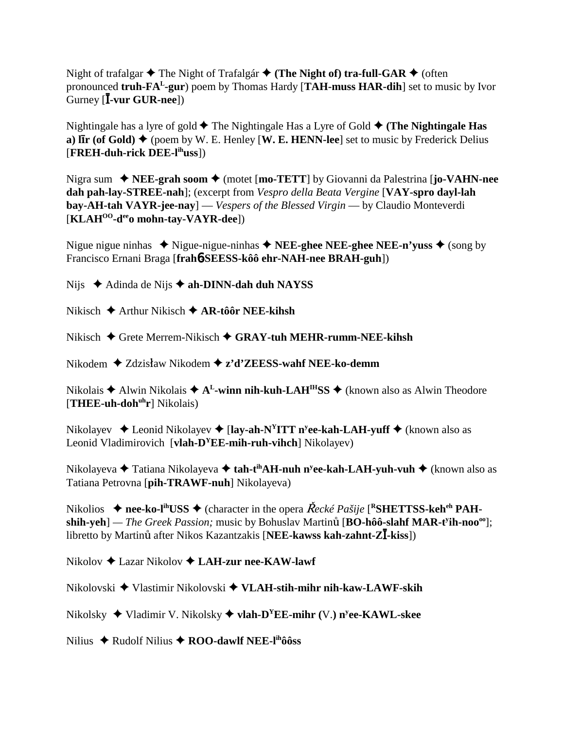Night of trafalgar **↓** The Night of Trafalgár **↓** (The Night of) tra-full-GAR ◆ (often pronounced **truh-FAL-gur**) poem by Thomas Hardy [**TAH-muss HAR-dih**] set to music by Ivor <u>.</u><br>Gurney [**Ī-vur GUR-nee**])

Nightingale has a lyre of gold  $\blacklozenge$  The Nightingale Has a Lyre of Gold  $\blacklozenge$  (The Nightingale Has **a)** IIr (of Gold)  $\blacklozenge$  (poem by W. E. Henley [W. E. HENN-lee] set to music by Frederick Delius [**FREH-duh-rick DEE-lihuss**])

Nigra sum ◆ **NEE-grah soom ◆** (motet [**mo-TETT**] by Giovanni da Palestrina [**jo-VAHN-nee dah pah-lay-STREE-nah**]; (excerpt from *Vespro della Beata Vergine* [**VAY-spro dayl-lah bay-AH-tah VAYR-jee-nay**] — *Vespers of the Blessed Virgin* — by Claudio Monteverdi [**KLAHOO-deeo mohn-tay-VAYR-dee**])

Nigue nigue ninhas  $\triangle$  Nigue-nigue-ninhas  $\triangle$  **NEE-ghee NEE-ghee NEE-n'yuss**  $\triangle$  (song by Francisco Ernani Braga [**frah**6**-SEESS-kôô ehr-NAH-nee BRAH-guh**])

Nijs **→** Adinda de Nijs **→ ah-DINN-dah duh NAYSS** 

Nikisch Arthur Nikisch **AR-tôôr NEE-kihsh**

Nikisch Grete Merrem-Nikisch **GRAY-tuh MEHR-rumm-NEE-kihsh**

Nikodem ◆ Zdzisław Nikodem **◆ z'd'ZEESS-wahf NEE-ko-demm** 

Nikolais  $\triangle$  Alwin Nikolais  $\triangle$  A<sup>L</sup>-winn nih-kuh-LAH<sup>IH</sup>SS  $\triangle$  (known also as Alwin Theodore [THEE-uh-doh<sup>uh</sup>r] Nikolais)

Nikolayev **→** Leonid Nikolayev ◆ [**lay-ah-N<sup>Y</sup>ITT n<sup>y</sup>ee-kah-LAH-yuff ◆** (known also as Leonid Vladimirovich [**vlah-DYEE-mih-ruh-vihch**] Nikolayev)

Nikolayeva ◆ Tatiana Nikolayeva ◆ **tah-t<sup>ih</sup>AH-nuh n<sup>y</sup>ee-kah-LAH-yuh-vuh ◆** (known also as Tatiana Petrovna [**pih-TRAWF-nuh**] Nikolayeva)

Nikolios  $\rightarrow$  nee-ko-l<sup>ih</sup>USS  $\rightarrow$  (character in the opera *Řecké Pašije* [<sup>R</sup>SHETTSS-keh<sup>eh</sup> PAH- $\mathbf{shih-yeh}$ ] — *The Greek Passion;* music by Bohuslav Martinů [**BO-hôô-slahf MAR-t<sup>y</sup>ih-noo<sup>oo</sup>];** libretto by Martinů after Nikos Kazantzakis [NEE-kawss kah-zahnt-ZĪ-kiss])

Nikolov Lazar Nikolov **LAH-zur nee-KAW-lawf**

Nikolovski Vlastimir Nikolovski **VLAH-stih-mihr nih-kaw-LAWF-skih**

Nikolsky Vladimir V. Nikolsky **vlah-DYEE-mihr (**V.**) ny ee-KAWL-skee**

Nilius ◆ Rudolf Nilius ◆ **ROO-dawlf NEE-l<sup>ih</sup>ôôss**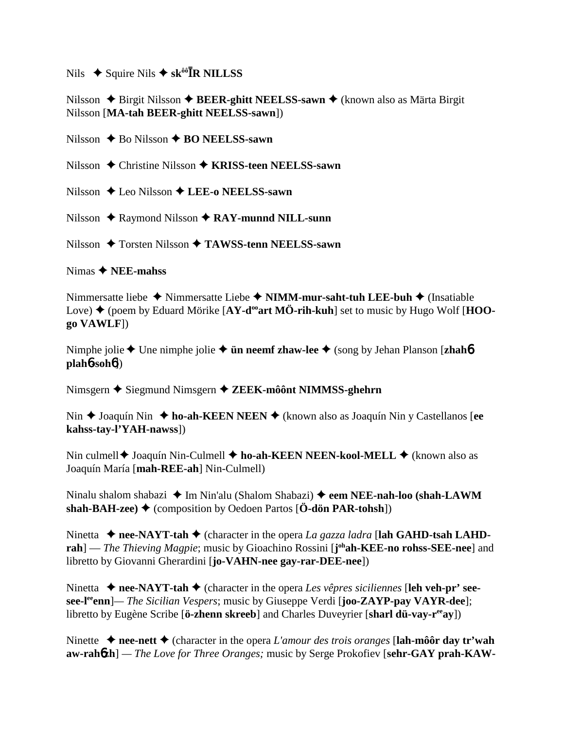# $Nils$   $\blacklozenge$  Squire Nils  $\blacklozenge$  sk<sup> $\omega \delta$ </sup>**TR NILLSS**

## Nilsson ◆ Birgit Nilsson ◆ **BEER-ghitt NEELSS-sawn ◆** (known also as Märta Birgit Nilsson [**MA-tah BEER-ghitt NEELSS-sawn**])

Nilsson **→** Bo Nilsson **→ BO NEELSS-sawn** 

Nilsson **→** Christine Nilsson → **KRISS-teen NEELSS-sawn** 

Nilsson Leo Nilsson **LEE-o NEELSS-sawn**

Nilsson ◆ Raymond Nilsson ◆ RAY-munnd NILL-sunn

Nilsson ◆ Torsten Nilsson **◆ TAWSS-tenn NEELSS-sawn** 

Nimas **NEE-mahss**

Nimmersatte liebe **→** Nimmersatte Liebe → **NIMM-mur-saht-tuh LEE-buh** → (Insatiable Love)  $\blacklozenge$  (poem by Eduard Mörike  $[AY-d^{\omega}art M\ddot{\theta} - rih-kuh]$  set to music by Hugo Wolf  $[HOO$ **go VAWLF**])

Nimphe jolie ◆ Une nimphe jolie ◆ **ün neemf zhaw-lee** ◆ (song by Jehan Planson [**zhah**6] **plah**6**-soh**6])

Nimsgern ◆ Siegmund Nimsgern ◆ ZEEK-môônt NIMMSS-ghehrn

Nin **→** Joaquín Nin → ho-ah-KEEN NEEN → (known also as Joaquín Nin y Castellanos [ee **kahss-tay-l'YAH-nawss**])

Nin culmell ♦ Joaquín Nin-Culmell ♦ ho-ah-KEEN NEEN-kool-MELL ♦ (known also as Joaquín María [**mah-REE-ah**] Nin-Culmell)

Ninalu shalom shabazi ◆ Im Nin'alu (Shalom Shabazi) ◆ eem NEE-nah-loo (shah-LAWM **shah-BAH-zee)**  $\blacklozenge$  (composition by Oedoen Partos  $[\mathbf{\ddot{O}}\text{-d\ddot{o}}\text{n } PAR\text{-}tohsh]$ )

Ninetta  $\triangle$  nee-NAYT-tah  $\triangle$  (character in the opera *La gazza ladra* [lah GAHD-tsah LAHD**rah**] — *The Thieving Magpie*; music by Gioachino Rossini [j<sup>oh</sup>ah-KEE-no rohss-SEE-nee] and libretto by Giovanni Gherardini [**jo-VAHN-nee gay-rar-DEE-nee**])

Ninetta  $\triangle$  nee-NAYT-tah  $\triangle$  (character in the opera *Les vêpres siciliennes* [leh veh-pr' see**see-leeenn**]*— The Sicilian Vespers*; music by Giuseppe Verdi [**joo-ZAYP-pay VAYR-dee**]; libretto by Eugène Scribe [**ö-zhenn skreeb**] and Charles Duveyrier [**sharl dü-vay-r<sup>ee</sup>ay**])

Ninette  $\triangle$  nee-nett  $\triangle$  (character in the opera *L'amour des trois oranges* [**lah-môôr day tr'wah aw-rah**6**zh**] *— The Love for Three Oranges;* music by Serge Prokofiev [**sehr-GAY prah-KAW-**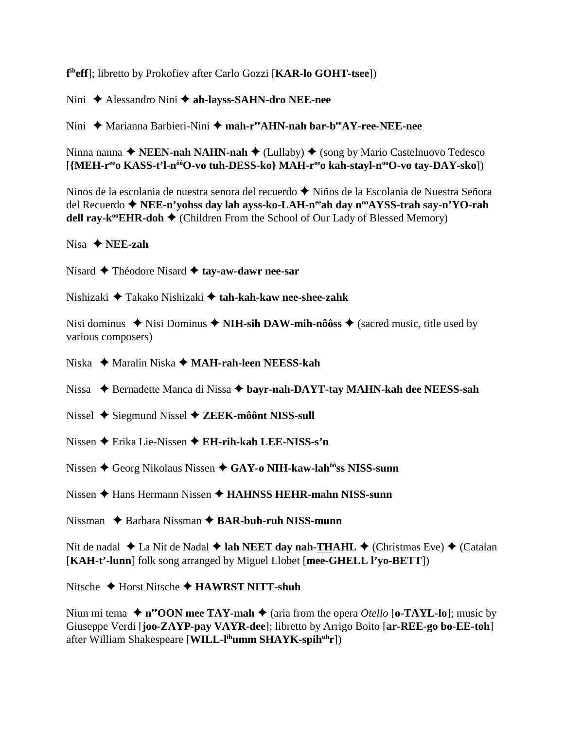**f iheff**]; libretto by Prokofiev after Carlo Gozzi [**KAR-lo GOHT-tsee**])

Nini ◆ Alessandro Nini **◆ ah-layss-SAHN-dro NEE-nee** 

Nini **→** Marianna Barbieri-Nini → mah-r<sup>ee</sup>AHN-nah bar-b<sup>ee</sup>AY-ree-NEE-nee

Ninna nanna ◆ **NEEN-nah NAHN-nah ◆** (Lullaby) ◆ (song by Mario Castelnuovo Tedesco [{MEH-r<sup>ee</sup>o KASS-t'l-n<sup>ôô</sup>O-vo tuh-DESS-ko} MAH-r<sup>ee</sup>o kah-stayl-n<sup>oo</sup>O-vo tay-DAY-sko])

Ninos de la escolania de nuestra senora del recuerdo  $\blacklozenge$  Niños de la Escolania de Nuestra Señora del Recuerdo **← NEE-n'yohss day lah ayss-ko-LAH-n<sup>ee</sup>ah day n<sup>oo</sup>AYSS-trah say-n'YO-rah dell ray-k<sup>oo</sup>EHR-doh**  $\blacklozenge$  (Children From the School of Our Lady of Blessed Memory)

Nisa **NEE-zah**

Nisard **→** Théodore Nisard **→ tay-aw-dawr nee-sar** 

Nishizaki Takako Nishizaki  **tah-kah-kaw nee-shee-zahk**

Nisi dominus  $\triangle$  Nisi Dominus  $\triangle$  **NIH-sih DAW-mih-nôôss**  $\triangle$  (sacred music, title used by various composers)

Niska ◆ Maralin Niska ◆ MA**H-rah-leen NEESS-kah** 

Nissa ◆ Bernadette Manca di Nissa ◆ bayr-nah-DAYT-tay MAHN-kah dee NEESS-sah

- Nissel ◆ Siegmund Nissel ◆ **ZEEK-môônt NISS-sull**
- Nissen Erika Lie-Nissen **EH-rih-kah LEE-NISS-s'n**
- Nissen ◆ Georg Nikolaus Nissen ◆ GAY-o NIH-kaw-lah<sup>ôô</sup>ss NISS-sunn

Nissen  $\triangle$  Hans Hermann Nissen  $\triangle$  **HAHNSS HEHR-mahn NISS-sunn** 

Nissman ◆ Barbara Nissman **◆ BAR-buh-ruh NISS-munn** 

Nit de nadal ◆ La Nit de Nadal ◆ lah NEET day nah-THAHL ◆ (Christmas Eve) ◆ (Catalan [**KAH-t'-lunn**] folk song arranged by Miguel Llobet [**mee-GHELL l'yo-BETT**])

Nitsche Horst Nitsche **HAWRST NITT-shuh**

Niun mi tema  $\triangle$  n<sup>ee</sup>OON mee TAY-mah  $\triangle$  (aria from the opera *Otello* [o-TAYL-lo]; music by Giuseppe Verdi [**joo-ZAYP-pay VAYR-dee**]; libretto by Arrigo Boito [**ar-REE-go bo-EE-toh**] after William Shakespeare [**WILL-lihumm SHAYK-spihuhr**])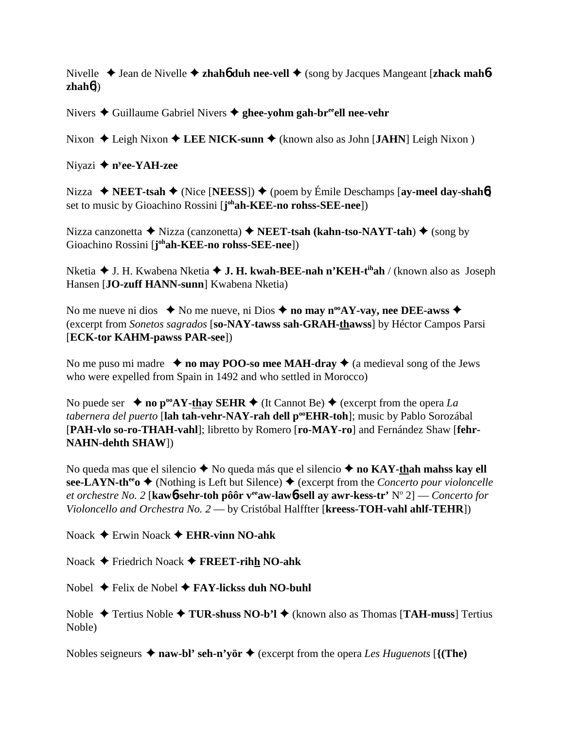Nivelle **→** Jean de Nivelle **→ zhah6** duh nee-vell ◆ (song by Jacques Mangeant [zhack mah6**zhah**6])

Nivers **→** Guillaume Gabriel Nivers → ghee-yohm gah-br<sup>ee</sup>ell nee-vehr

Nixon ◆ Leigh Nixon ◆ LEE NICK-sunn ◆ (known also as John [JAHN] Leigh Nixon )

Niyazi **→ n<sup>y</sup>ee-YAH-zee** 

Nizza  **◆ NEET-tsah ◆** (Nice [**NEESS**]) ◆ (poem by Émile Deschamps [**ay-meel day-shah**6] set to music by Gioachino Rossini [**j ohah-KEE-no rohss-SEE-nee**])

Nizza canzonetta **→** Nizza (canzonetta) **→ NEET-tsah (kahn-tso-NAYT-tah) →** (song by Gioachino Rossini [**j ohah-KEE-no rohss-SEE-nee**])

Nketia **→** J. H. Kwabena Nketia ◆ **J. H. kwah-BEE-nah n'KEH-t<sup>ih</sup>ah** / (known also as Joseph Hansen [**JO-zuff HANN-sunn**] Kwabena Nketia)

No me nueve ni dios  $\bullet$  No me nueve, ni Dios  $\bullet$  no may n<sup>oo</sup>AY-vay, nee DEE-awss  $\bullet$ (excerpt from *Sonetos sagrados* [**so-NAY-tawss sah-GRAH-thawss**] by Héctor Campos Parsi [**ECK-tor KAHM-pawss PAR-see**])

No me puso mi madre  $\rightarrow$  **no may POO-so mee MAH-dray**  $\rightarrow$  (a medieval song of the Jews who were expelled from Spain in 1492 and who settled in Morocco)

No puede ser  $\rightarrow$  **no p<sup>oo</sup>AY-thay SEHR**  $\rightarrow$  (It Cannot Be)  $\rightarrow$  (excerpt from the opera *La tabernera del puerto* [**lah tah-vehr-NAY-rah dell pooEHR-toh**]; music by Pablo Sorozábal [**PAH-vlo so-ro-THAH-vahl**]; libretto by Romero [**ro-MAY-ro**] and Fernández Shaw [**fehr-NAHN-dehth SHAW**])

No queda mas que el silencio ◆ No queda más que el silencio ◆ no KAY-thah mahss kay ell  $\textbf{see-LAYN-th}^{\text{ee}}$   $\bullet$  (Nothing is Left but Silence)  $\bullet$  (excerpt from the *Concerto pour violoncelle et orchestre No. 2* [**kaw**6**-sehr-toh pôôr veeaw-law**6**-sell ay awr-kess-tr'** No 2] — *Concerto for Violoncello and Orchestra No. 2* — by Cristóbal Halffter [**kreess-TOH-vahl ahlf-TEHR**])

Noack Erwin Noack **EHR-vinn NO-ahk**

Noack Friedrich Noack **FREET-rihh NO-ahk**

Nobel **→** Felix de Nobel **→ FAY-lickss duh NO-buhl** 

Noble Tertius Noble **TUR-shuss NO-b'l** (known also as Thomas [**TAH-muss**] Tertius Noble)

Nobles seigneurs  $\triangle$  **naw-bl' seh-n'yör**  $\triangle$  (excerpt from the opera *Les Huguenots* [{(**The**)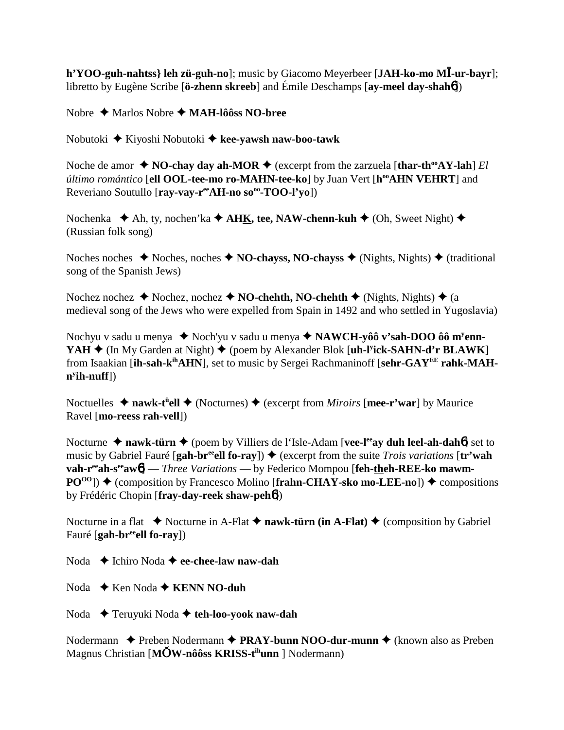**h'YOO-guh-nahtss} leh zü-guh-no**]; music by Giacomo Meyerbeer [**JAH-ko-mo MĪ-ur-bayr**]; libretto by Eugène Scribe [**ö-zhenn skreeb**] and Émile Deschamps [**ay-meel day-shah**6])

Nobre Marlos Nobre **MAH-lôôss NO-bree**

Nobutoki Kiyoshi Nobutoki **kee-yawsh naw-boo-tawk**

Noche de amor  $\triangle$  **NO-chay day ah-MOR**  $\triangle$  (excerpt from the zarzuela [thar-th<sup>oo</sup>AY-lah] *El último romántico* [**ell OOL-tee-mo ro-MAHN-tee-ko**] by Juan Vert [**hooAHN VEHRT**] and Reveriano Soutullo [ray-vay-r<sup>ee</sup>AH-no so<sup>oo</sup>-TOO-l'yo])

Nochenka **→** Ah, ty, nochen'ka **→ AHK, tee, NAW-chenn-kuh →** (Oh, Sweet Night) ◆ (Russian folk song)

Noches noches  $\blacklozenge$  Noches, noches  $\blacklozenge$  **NO-chayss, NO-chayss**  $\blacklozenge$  (Nights, Nights)  $\blacklozenge$  (traditional song of the Spanish Jews)

Nochez nochez **→** Nochez, nochez **→ NO-chehth, NO-chehth →** (Nights, Nights) **→** (a medieval song of the Jews who were expelled from Spain in 1492 and who settled in Yugoslavia)

Nochyu v sadu u menya ♦ Noch'yu v sadu u menya ♦ NAWCH-yôô v's**ah-DOO** ôô m<sup>y</sup>enn-**YAH**  $\triangle$  (In My Garden at Night)  $\triangle$  (poem by Alexander Blok [**uh-l<sup>y</sup>ick-SAHN-d'r BLAWK**] from Isaakian [**ih-sah-kihAHN**], set to music by Sergei Rachmaninoff [**sehr-GAYEE rahk-MAHny ih-nuff**])

Noctuelles ◆ nawk-t<sup>ü</sup>ell ◆ (Nocturnes) ◆ (excerpt from *Miroirs* [mee-r'war] by Maurice Ravel [**mo-reess rah-vell**])

Nocturne ◆ nawk-türn ◆ (poem by Villiers de l'Isle-Adam [**vee-l<sup>ee</sup>ay duh leel-ah-dah6**] set to music by Gabriel Fauré [gah-br<sup>ee</sup>ell fo-ray])  $\blacklozenge$  (excerpt from the suite *Trois variations* [tr'wah vah-r<sup>ee</sup>ah-s<sup>ee</sup>aw<sup>6</sup>] — *Three Variations* — by Federico Mompou [feh-theh-REE-ko mawm- $PO^{00}$ )  $\blacklozenge$  (composition by Francesco Molino [frahn-CHAY-sko mo-LEE-no])  $\blacklozenge$  compositions by Frédéric Chopin [**fray-day-reek shaw-peh**6])

Nocturne in a flat  $\blacklozenge$  Nocturne in A-Flat  $\blacklozenge$  **nawk-türn (in A-Flat)**  $\blacklozenge$  (composition by Gabriel Fauré [**gah-breeell fo-ray**])

Noda Ichiro Noda **ee-chee-law naw-dah**

- Noda **→** Ken Noda **→ KENN NO-duh**
- Noda Teruyuki Noda **teh-loo-yook naw-dah**

Nodermann **←** Preben Nodermann ← PRAY-bunn NOO-dur-munn ← (known also as Preben Magnus Christian [**MW-nôôss KRISS-tihunn** ] Nodermann)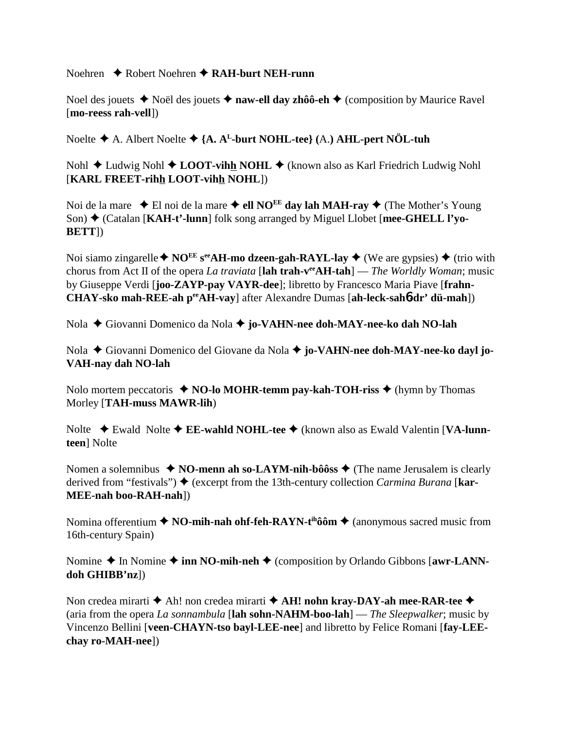Noehren **→** Robert Noehren **→ RAH-burt NEH-runn** 

Noel des jouets **→** Noël des jouets **→ naw-ell day zhôô-eh →** (composition by Maurice Ravel [**mo-reess rah-vell**])

Noelte A. Albert Noelte **{A. AL-burt NOHL-tee} (**A.**) AHL-pert NÖL-tuh**

Nohl **→** Ludwig Nohl ◆ LOOT-vihh NOHL ◆ (known also as Karl Friedrich Ludwig Nohl [**KARL FREET-rihh LOOT-vihh NOHL**])

Noi de la mare  $\triangle$  El noi de la mare  $\triangle$  ell NO<sup>EE</sup> day lah MAH-ray  $\triangle$  (The Mother's Young Son) (Catalan [**KAH-t'-lunn**] folk song arranged by Miguel Llobet [**mee-GHELL l'yo-BETT**])

Noi siamo zingarelle  $\blacklozenge$  NO<sup>EE</sup> s<sup>ee</sup>AH-mo dzeen-gah-RAYL-lay  $\blacklozenge$  (We are gypsies)  $\blacklozenge$  (trio with chorus from Act II of the opera *La traviata* [**lah trah-veeAH-tah**] — *The Worldly Woman*; music by Giuseppe Verdi [**joo-ZAYP-pay VAYR-dee**]; libretto by Francesco Maria Piave [**frahn-CHAY-sko mah-REE-ah peeAH-vay**] after Alexandre Dumas [**ah-leck-sah**6**-dr' dü-mah**])

Nola Giovanni Domenico da Nola **jo-VAHN-nee doh-MAY-nee-ko dah NO-lah**

Nola ◆ Giovanni Domenico del Giovane da Nola ◆ **jo-VAHN-nee doh-MAY-nee-ko dayl jo-VAH-nay dah NO-lah**

Nolo mortem peccatoris  $\triangle$  **NO-lo MOHR-temm pay-kah-TOH-riss**  $\triangle$  (hymn by Thomas Morley [**TAH-muss MAWR-lih**)

Nolte ◆ Ewald Nolte ◆ **EE-wahld NOHL-tee** ◆ (known also as Ewald Valentin [**VA-lunnteen**] Nolte

Nomen a solemnibus  $\triangle$  **NO-menn ah so-LAYM-nih-bôôss**  $\triangle$  (The name Jerusalem is clearly derived from "festivals") ♦ (excerpt from the 13th-century collection *Carmina Burana* [**kar-MEE-nah boo-RAH-nah**])

Nomina offerentium **↑ NO-mih-nah ohf-feh-RAYN-t<sup>ih</sup>ôôm ↑** (anonymous sacred music from 16th-century Spain)

Nomine  $\triangle$  In Nomine  $\triangle$  inn NO-mih-neh  $\triangle$  (composition by Orlando Gibbons [awr-LANN**doh GHIBB'nz**])

Non credea mirarti  $\blacklozenge$  Ah! non credea mirarti  $\blacklozenge$  **AH! nohn kray-DAY-ah mee-RAR-tee**  $\blacklozenge$ (aria from the opera *La sonnambula* [**lah sohn-NAHM-boo-lah**] — *The Sleepwalker*; music by Vincenzo Bellini [**veen-CHAYN-tso bayl-LEE-nee**] and libretto by Felice Romani [**fay-LEEchay ro-MAH-nee**])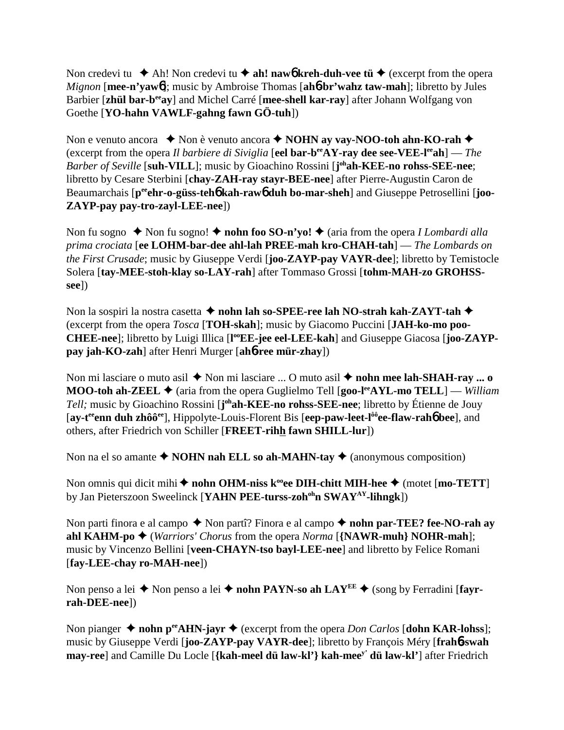Non credevi tu  $\blacklozenge$  Ah! Non credevi tu  $\blacklozenge$  ah! naw**6** kreh-duh-vee tü  $\blacklozenge$  (excerpt from the opera *Mignon* [**mee-n'yaw**6]; music by Ambroise Thomas [**ah**6**-br'wahz taw-mah**]; libretto by Jules Barbier [**zhül bar-beeay**] and Michel Carré [**mee-shell kar-ray**] after Johann Wolfgang von Goethe [**YO-hahn VAWLF-gahng fawn GÖ-tuh**])

Non e venuto ancora  $\triangle$  Non è venuto ancora **← NOHN ay vay-NOO-toh ahn-KO-rah** ← (excerpt from the opera *Il barbiere di Siviglia* [**eel bar-beeAY-ray dee see-VEE-leeah**] — *The* Barber of Seville [suh-VILL]; music by Gioachino Rossini [j<sup>oh</sup>ah-KEE-no rohss-SEE-nee; libretto by Cesare Sterbini [**chay-ZAH-ray stayr-BEE-nee**] after Pierre-Augustin Caron de Beaumarchais  $[p^{ee}$ **chr-o-güss-teh<sup>6</sup> kah-raw<sup>6</sup> duh bo-mar-sheh**] and Giuseppe Petrosellini [**joo-ZAYP-pay pay-tro-zayl-LEE-nee**])

Non fu sogno  $\triangle$  Non fu sogno!  $\triangle$  **nohn foo SO-n'yo!**  $\triangle$  (aria from the opera *I Lombardi alla prima crociata* [**ee LOHM-bar-dee ahl-lah PREE-mah kro-CHAH-tah**] — *The Lombards on the First Crusade*; music by Giuseppe Verdi [**joo-ZAYP-pay VAYR-dee**]; libretto by Temistocle Solera [**tay-MEE-stoh-klay so-LAY-rah**] after Tommaso Grossi [**tohm-MAH-zo GROHSSsee**])

Non la sospiri la nostra casetta  $\triangle$  **nohn lah so-SPEE-ree lah NO-strah kah-ZAYT-tah**  $\triangle$ (excerpt from the opera *Tosca* [**TOH-skah**]; music by Giacomo Puccini [**JAH-ko-mo poo-**CHEE-nee]; libretto by Luigi Illica [l<sup>oo</sup>EE-jee eel-LEE-kah] and Giuseppe Giacosa [joo-ZAYP**pay jah-KO-zah**] after Henri Murger [**ah**6**-ree mür-zhay**])

Non mi lasciare o muto asil ◆ Non mi lasciare ... O muto asil ◆ nohn mee lah-SHAH-ray ... o **MOO-toh ah-ZEEL ♦** (aria from the opera Guglielmo Tell [**goo-l<sup>ee</sup>AYL-mo TELL**] — *William* Tell; music by Gioachino Rossini [**j**<sup>oh</sup>**ah-KEE-no rohss-SEE-nee**; libretto by Étienne de Jouy [**ay-teeenn duh zhôôee**], Hippolyte-Louis-Florent Bis [**eep-paw-leet-lôôee-flaw-rah**6 **bee**], and others, after Friedrich von Schiller [**FREET-rihh fawn SHILL-lur**])

Non na el so amante  $\triangle$  **NOHN nah ELL so ah-MAHN-tay**  $\triangle$  (anonymous composition)

Non omnis qui dicit mihi  $\triangle$  nohn OHM-niss k<sup>oo</sup>ee DIH-chitt MIH-hee  $\triangle$  (motet [mo-TETT] by Jan Pieterszoon Sweelinck [**YAHN PEE-turss-zohohn SWAYAY-lihngk**])

Non parti finora e al campo  $\triangle$  Non partî? Finora e al campo  $\triangle$  nohn par-TEE? fee-NO-rah av **ahl KAHM-po**  $\blacklozenge$  (*Warriors' Chorus* from the opera *Norma* [{**NAWR-muh**} **NOHR-mah**]; music by Vincenzo Bellini [**veen-CHAYN-tso bayl-LEE-nee**] and libretto by Felice Romani [**fay-LEE-chay ro-MAH-nee**])

Non penso a lei  $\triangle$  Non penso a lei  $\triangle$  **nohn PAYN-so ah LAY<sup>EE</sup>**  $\triangle$  (song by Ferradini [**fayrrah-DEE-nee**])

Non pianger  $\triangle$  **nohn p<sup>ee</sup>AHN-jayr**  $\triangle$  (excerpt from the opera *Don Carlos* [**dohn KAR-lohss**]; music by Giuseppe Verdi [**joo-ZAYP-pay VAYR-dee**]; libretto by François Méry [**frah**6**-swah may-ree**] and Camille Du Locle [**{kah-meel dü law-kl'} kah-meey' dü law-kl'**] after Friedrich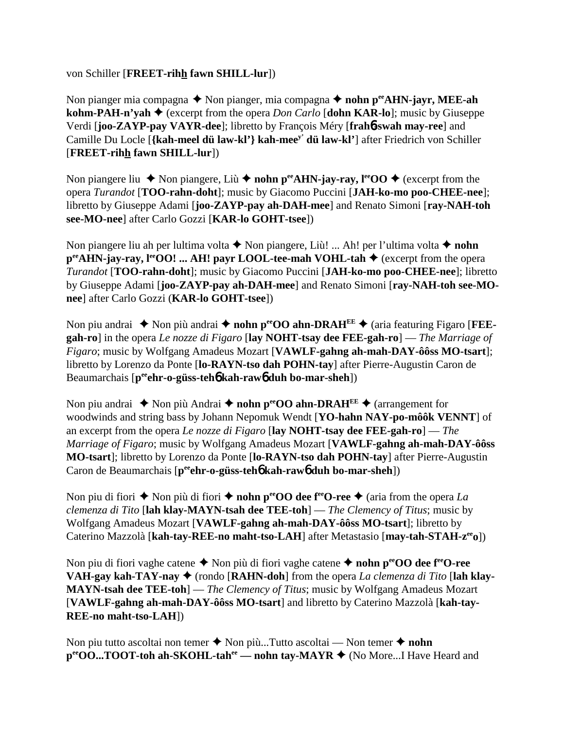von Schiller [**FREET-rihh fawn SHILL-lur**])

Non pianger mia compagna ◆ Non pianger, mia compagna ◆ nohn p<sup>ee</sup>AHN-jayr, MEE-ah **kohm-PAH-n'yah**  $\blacklozenge$  (excerpt from the opera *Don Carlo* [dohn KAR-lo]; music by Giuseppe Verdi [**joo-ZAYP-pay VAYR-dee**]; libretto by François Méry [**frah**6**-swah may-ree**] and Camille Du Locle [**{kah-meel dü law-kl'} kah-meey' dü law-kl'**] after Friedrich von Schiller [**FREET-rihh fawn SHILL-lur**])

Non piangere liu  $\blacklozenge$  Non piangere, Liù  $\blacklozenge$  nohn p<sup>ee</sup>AHN-jay-ray, l<sup>ee</sup>OO  $\blacklozenge$  (excerpt from the opera *Turandot* [**TOO-rahn-doht**]; music by Giacomo Puccini [**JAH-ko-mo poo-CHEE-nee**]; libretto by Giuseppe Adami [**joo-ZAYP-pay ah-DAH-mee**] and Renato Simoni [**ray-NAH-toh see-MO-nee**] after Carlo Gozzi [**KAR-lo GOHT-tsee**])

Non piangere liu ah per lultima volta **→** Non piangere, Liù! ... Ah! per l'ultima volta ◆ nohn **p<sup>ee</sup>AHN-jay-ray, l<sup>ee</sup>OO! ... AH! payr LOOL-tee-mah VOHL-tah ♦** (excerpt from the opera *Turandot* [**TOO-rahn-doht**]; music by Giacomo Puccini [**JAH-ko-mo poo-CHEE-nee**]; libretto by Giuseppe Adami [**joo-ZAYP-pay ah-DAH-mee**] and Renato Simoni [**ray-NAH-toh see-MOnee**] after Carlo Gozzi (**KAR-lo GOHT-tsee**])

Non piu andrai  $\triangle$  Non più andrai  $\triangle$  nohn pero Q ahn-DRAH<sup>EE</sup>  $\triangle$  (aria featuring Figaro [FEE**gah-ro**] in the opera *Le nozze di Figaro* [**lay NOHT-tsay dee FEE-gah-ro**] — *The Marriage of Figaro*; music by Wolfgang Amadeus Mozart [**VAWLF-gahng ah-mah-DAY-ôôss MO-tsart**]; libretto by Lorenzo da Ponte [**lo-RAYN-tso dah POHN-tay**] after Pierre-Augustin Caron de Beaumarchais [**peeehr-o-güss-teh**6 **kah-raw**6 **duh bo-mar-sheh**])

Non piu andrai  $\triangle$  Non più Andrai  $\triangle$  **nohn p<sup>ee</sup>OO ahn-DRAH<sup>EE</sup>**  $\triangle$  (arrangement for woodwinds and string bass by Johann Nepomuk Wendt [**YO-hahn NAY-po-môôk VENNT**] of an excerpt from the opera *Le nozze di Figaro* [**lay NOHT-tsay dee FEE-gah-ro**] — *The Marriage of Figaro*; music by Wolfgang Amadeus Mozart [**VAWLF-gahng ah-mah-DAY-ôôss MO-tsart**]; libretto by Lorenzo da Ponte [**lo-RAYN-tso dah POHN-tay**] after Pierre-Augustin Caron de Beaumarchais [p<sup>ee</sup>ehr-o-güss-teh**6** kah-raw**6** duh bo-mar-sheh])

Non piu di fiori  $\triangle$  Non più di fiori  $\triangle$  **nohn p<sup>ec</sup>OO dee f<sup>ee</sup>O-ree**  $\triangle$  (aria from the opera *La clemenza di Tito* [**lah klay-MAYN-tsah dee TEE-toh**] — *The Clemency of Titus*; music by Wolfgang Amadeus Mozart [**VAWLF-gahng ah-mah-DAY-ôôss MO-tsart**]; libretto by Caterino Mazzolà [**kah-tay-REE-no maht-tso-LAH**] after Metastasio [**may-tah-STAH-zeeo**])

Non piu di fiori vaghe catene ◆ Non più di fiori vaghe catene ◆ **nohn p<sup>ee</sup>OO dee f<sup>ee</sup>O-ree VAH-gay kah-TAY-nay ♦** (rondo [**RAHN-doh**] from the opera *La clemenza di Tito* [lah klay-**MAYN-tsah dee TEE-toh**] — *The Clemency of Titus*; music by Wolfgang Amadeus Mozart [**VAWLF-gahng ah-mah-DAY-ôôss MO-tsart**] and libretto by Caterino Mazzolà [**kah-tay-REE-no maht-tso-LAH**])

Non piu tutto ascoltai non temer **→** Non più...Tutto ascoltai — Non temer ◆ nohn **p<sup>ee</sup>OO...TOOT-toh ah-SKOHL-tah<sup>ee</sup> — nohn tay-MAYR ♦** (No More...I Have Heard and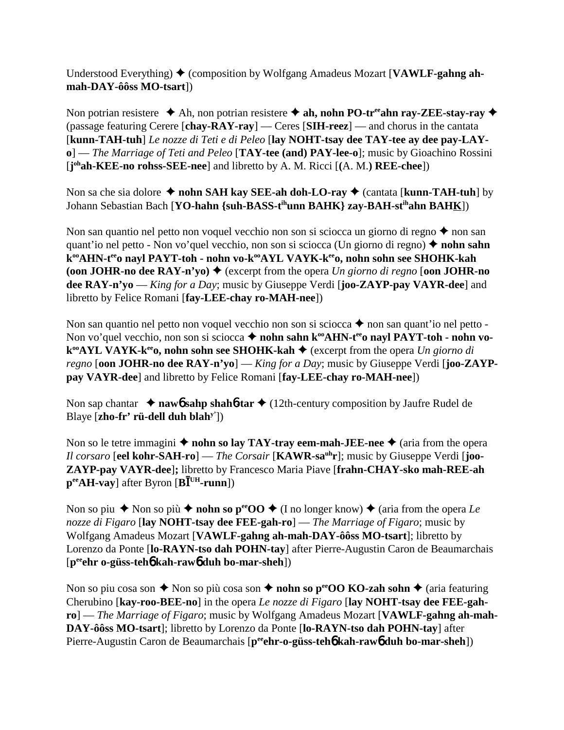Understood Everything) (composition by Wolfgang Amadeus Mozart [**VAWLF-gahng ahmah-DAY-ôôss MO-tsart**])

Non potrian resistere  $\triangle$  Ah, non potrian resistere  $\triangle$  ah, nohn PO-tr<sup>ee</sup>ahn ray-ZEE-stay-ray  $\triangle$ (passage featuring Cerere [**chay-RAY-ray**] — Ceres [**SIH-reez**] — and chorus in the cantata [**kunn-TAH-tuh**] *Le nozze di Teti e di Peleo* [**lay NOHT-tsay dee TAY-tee ay dee pay-LAYo**] — *The Marriage of Teti and Peleo* [**TAY-tee (and) PAY-lee-o**]; music by Gioachino Rossini [**j ohah-KEE-no rohss-SEE-nee**] and libretto by A. M. Ricci [**(**A. M.**) REE-chee**])

Non sa che sia dolore ◆ nohn SAH kay SEE-ah doh-LO-ray ◆ (cantata [kunn-TAH-tuh] by Johann Sebastian Bach [**YO-hahn {suh-BASS-tihunn BAHK} zay-BAH-stihahn BAHK**])

Non san quantio nel petto non voquel vecchio non son si sciocca un giorno di regno  $\triangle$  non san quant'io nel petto - Non vo'quel vecchio, non son si sciocca (Un giorno di regno)  $\triangle$  nohn sahn k<sup>oo</sup>AHN-t<sup>ee</sup>o nayl PAYT-toh - nohn vo-k<sup>oo</sup>AYL VAYK-k<sup>ee</sup>o, nohn sohn see SHOHK-kah **(oon JOHR-no dee RAY-n'yo)**  $\blacklozenge$  (excerpt from the opera *Un giorno di regno* [**oon JOHR-no dee RAY-n'yo** — *King for a Day*; music by Giuseppe Verdi [**joo-ZAYP-pay VAYR-dee**] and libretto by Felice Romani [**fay-LEE-chay ro-MAH-nee**])

Non san quantio nel petto non voquel vecchio non son si sciocca  $\blacklozenge$  non san quant'io nel petto -Non vo'quel vecchio, non son si sciocca  $\triangle$  **nohn sahn k<sup>oo</sup>AHN-t<sup>ee</sup>o nayl PAYT-toh - nohn vok<sup>∞</sup>AYL VAYK-k<sup>ee</sup>o, nohn sohn see SHOHK-kah ◆** (excerpt from the opera *Un giorno di regno* [**oon JOHR-no dee RAY-n'yo**] — *King for a Day*; music by Giuseppe Verdi [**joo-ZAYPpay VAYR-dee**] and libretto by Felice Romani [**fay-LEE-chay ro-MAH-nee**])

Non sap chantar  $\rightarrow$  **naw6** sahp shah**6**-tar  $\rightarrow$  (12th-century composition by Jaufre Rudel de Blaye [**zho-fr' rü-dell duh blahy'**])

Non so le tetre immagini  $\triangle$  nohn so lay TAY-tray eem-mah-JEE-nee  $\triangle$  (aria from the opera *Il corsaro* [**eel kohr-SAH-ro**] — *The Corsair* [**KAWR-sauhr**]; music by Giuseppe Verdi [**joo-ZAYP-pay VAYR-dee**]**;** libretto by Francesco Maria Piave [**frahn-CHAY-sko mah-REE-ah**  $\mathbf{p}^{\text{ee}}$ **AH-vay**] after Byron  $[\mathbf{B}\mathbf{\bar{I}}^{\text{UH}}$ -runn])

Non so piu  $\blacklozenge$  Non so più  $\blacklozenge$  **nohn so p<sup>ee</sup>OO**  $\blacklozenge$  (I no longer know)  $\blacklozenge$  (aria from the opera *Le nozze di Figaro* [**lay NOHT-tsay dee FEE-gah-ro**] — *The Marriage of Figaro*; music by Wolfgang Amadeus Mozart [**VAWLF-gahng ah-mah-DAY-ôôss MO-tsart**]; libretto by Lorenzo da Ponte [**lo-RAYN-tso dah POHN-tay**] after Pierre-Augustin Caron de Beaumarchais [**peeehr o-güss-teh**6 **kah-raw**6 **duh bo-mar-sheh**])

Non so piu cosa son  $\triangle$  Non so più cosa son  $\triangle$  **nohn so p<sup>ee</sup>OO KO-zah sohn**  $\triangle$  (aria featuring Cherubino [**kay-roo-BEE-no**] in the opera *Le nozze di Figaro* [**lay NOHT-tsay dee FEE-gahro**] — *The Marriage of Figaro*; music by Wolfgang Amadeus Mozart [**VAWLF-gahng ah-mah-DAY-ôôss MO-tsart**]; libretto by Lorenzo da Ponte [**lo-RAYN-tso dah POHN-tay**] after Pierre-Augustin Caron de Beaumarchais [p<sup>ee</sup>ehr-o-güss-teh**6** kah-raw6 duh bo-mar-sheh])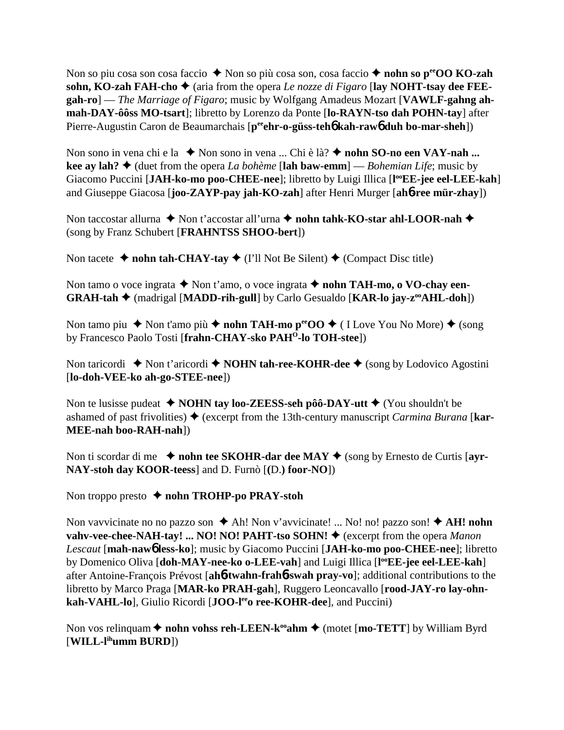Non so piu cosa son cosa faccio ◆ Non so più cosa son, cosa faccio ◆ nohn so p<sup>ee</sup>OO KO-zah sohn, KO-zah FAH-cho  $\triangle$  (aria from the opera *Le nozze di Figaro* [lay NOHT-tsay dee FEE**gah-ro**] — *The Marriage of Figaro*; music by Wolfgang Amadeus Mozart [**VAWLF-gahng ahmah-DAY-ôôss MO-tsart**]; libretto by Lorenzo da Ponte [**lo-RAYN-tso dah POHN-tay**] after Pierre-Augustin Caron de Beaumarchais [p<sup>ee</sup>ehr-o-güss-teh**6** kah-raw6 duh bo-mar-sheh])

Non sono in vena chi e la ◆ Non sono in vena ... Chi è là? ◆ nohn **SO-no een VAY-nah ... kee ay lah?**  $\triangleleft$  (duet from the opera *La bohème* [lah baw-emm] — *Bohemian Life*; music by Giacomo Puccini [JAH-ko-mo poo-CHEE-nee]; libretto by Luigi Illica [l<sup>oo</sup>EE-jee eel-LEE-kah] and Giuseppe Giacosa [**joo-ZAYP-pay jah-KO-zah**] after Henri Murger [**ah**6**-ree mür-zhay**])

Non taccostar allurna **↓** Non t'accostar all'urna **↓ nohn tahk-KO-star ahl-LOOR-nah ◆** (song by Franz Schubert [**FRAHNTSS SHOO-bert**])

Non tacete  $\triangle$  **nohn tah-CHAY-tay**  $\triangle$  (I'll Not Be Silent)  $\triangle$  (Compact Disc title)

Non tamo o voce ingrata **→** Non t'amo, o voce ingrata **→ nohn TAH-mo, o VO-chav een-GRAH-tah ♦** (madrigal [MADD-rih-gull] by Carlo Gesualdo [KAR-lo jay-z<sup>oo</sup>AHL-doh])

Non tamo piu  $\blacklozenge$  Non t'amo più  $\blacklozenge$  nohn TAH-mo p<sup>ee</sup>OO  $\blacklozenge$  (I Love You No More)  $\blacklozenge$  (song by Francesco Paolo Tosti [**frahn-CHAY-sko PAHO-lo TOH-stee**])

Non taricordi ◆ Non t'aricordi ◆ **NOHN tah-ree-KOHR-dee** ◆ (song by Lodovico Agostini [**lo-doh-VEE-ko ah-go-STEE-nee**])

Non te lusisse pudeat **↓ NOHN tay loo-ZEESS-seh pôô-DAY-utt ◆** (You shouldn't be ashamed of past frivolities) ♦ (excerpt from the 13th-century manuscript *Carmina Burana* [**kar-MEE-nah boo-RAH-nah**])

Non ti scordar di me  $\triangle$  **nohn tee SKOHR-dar dee MAY**  $\triangle$  (song by Ernesto de Curtis [ayr-**NAY-stoh day KOOR-teess**] and D. Furnò [**(**D.**) foor-NO**])

Non troppo presto **← nohn TROHP-po PRAY-stoh** 

Non vavvicinate no no pazzo son **→** Ah! Non v'avvicinate! ... No! no! pazzo son! ◆ AH! nohn **vahv-vee-chee-NAH-tay! ... NO! NO! PAHT-tso SOHN! ♦** (excerpt from the opera *Manon Lescaut* [**mah-naw**6 **less-ko**]; music by Giacomo Puccini [**JAH-ko-mo poo-CHEE-nee**]; libretto by Domenico Oliva [doh-MAY-nee-ko o-LEE-vah] and Luigi Illica [l<sup>oo</sup>EE-jee eel-LEE-kah] after Antoine-François Prévost [**ah**6**-twahn-frah**6**-swah pray-vo**]; additional contributions to the libretto by Marco Praga [**MAR-ko PRAH-gah**], Ruggero Leoncavallo [**rood-JAY-ro lay-ohnkah-VAHL-lo**], Giulio Ricordi [JOO-l<sup>ee</sup> ree-KOHR-dee], and Puccini)

Non vos relinquam **← nohn vohss reh-LEEN-k<sup>oo</sup>ahm ←** (motet [**mo-TETT**] by William Byrd [**WILL-lihumm BURD**])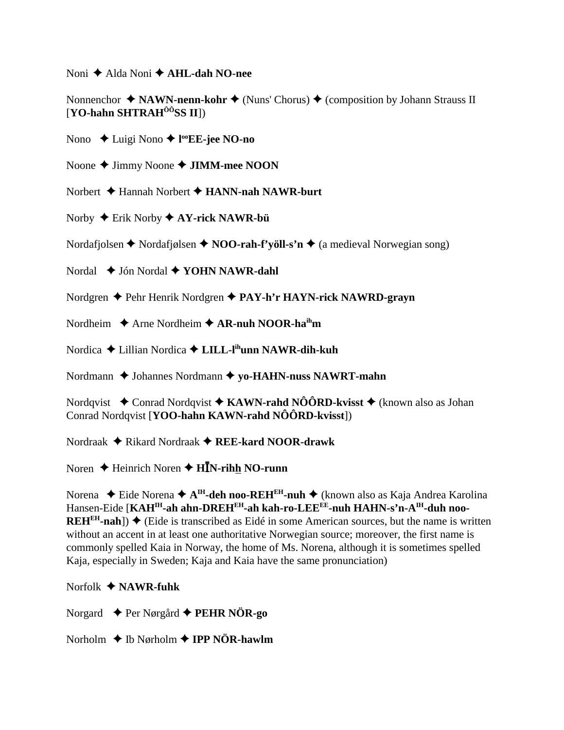Noni  $\triangle$  Alda Noni  $\triangle$  AHL-dah NO-nee

Nonnenchor  $\triangle$  NAWN-nenn-kohr  $\triangle$  (Nuns' Chorus)  $\triangle$  (composition by Johann Strauss II  $[YO-hahn SHTRAH<sup>ÔÔ</sup>$ SS II])

Nono  $\triangle$  Luigi Nono  $\triangle$  l<sup>oo</sup>EE-jee NO-no

Noone  $\triangle$  Jimmy Noone  $\triangle$  JIMM-mee NOON

Norbert  $\triangle$  Hannah Norbert  $\triangle$  HANN-nah NAWR-burt

Norby  $\triangle$  Erik Norby  $\triangle$  AY-rick NAWR-bü

Nordafjolsen  $\triangle$  Nordafjølsen  $\triangle$  NOO-rah-f'völl-s'n  $\triangle$  (a medieval Norwegian song)

Nordal  $\triangleq$  Jón Nordal  $\triangleq$  YOHN NAWR-dahl

Nordgren ♦ Pehr Henrik Nordgren ♦ PAY-h'r HAYN-rick NAWRD-grayn

Nordheim  $\triangle$  Arne Nordheim  $\triangle$  AR-nuh NOOR-ha<sup>ih</sup>m

Nordica  $\triangle$  Lillian Nordica  $\triangle$  LILL-l<sup>ih</sup>unn NAWR-dih-kuh

Nordmann  $\triangle$  Johannes Nordmann  $\triangle$  vo-HAHN-nuss NAWRT-mahn

Nordqvist  $\triangle$  Conrad Nordqvist  $\triangle$  KAWN-rahd NÔÔRD-kvisst  $\triangle$  (known also as Johan Conrad Nordqvist [YOO-hahn KAWN-rahd NÔÔRD-kvisst])

Nordraak  $\triangle$  Rikard Nordraak  $\triangle$  REE-kard NOOR-drawk

Noren  $\triangle$  Heinrich Noren  $\triangle$  HIN-rihh NO-runn

Norena  $\triangle$  Eide Norena  $\triangle$  A<sup>IH</sup>-deh noo-REH<sup>EH</sup>-nuh  $\triangle$  (known also as Kaja Andrea Karolina Hansen-Eide [KAH<sup>IH</sup>-ah ahn-DREH<sup>EH</sup>-ah kah-ro-LEE<sup>EE</sup>-nuh HAHN-s'n-A<sup>IH</sup>-duh noo-**REH<sup>EH</sup>-nah**])  $\blacklozenge$  (Eide is transcribed as Eidé in some American sources, but the name is written without an accent in at least one authoritative Norwegian source; moreover, the first name is commonly spelled Kaia in Norway, the home of Ms. Norena, although it is sometimes spelled Kaja, especially in Sweden; Kaja and Kaja have the same pronunciation)

Norfolk  $\triangle$  NAWR-fuhk

Norgard  $\triangleq$  Per Nørgård  $\triangleq$  PEHR NÖR-go

Norholm  $\triangle$  Ib Nørholm  $\triangle$  IPP NÖR-hawlm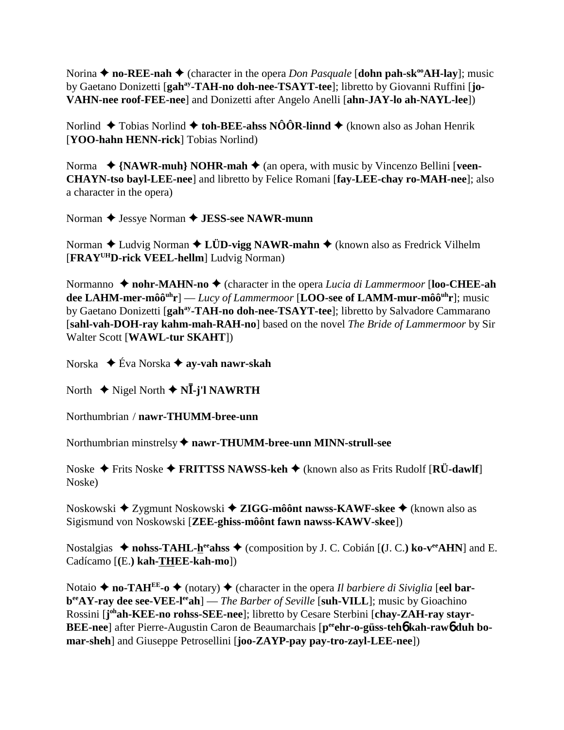Norina  $\triangle$  **no-REE-nah**  $\triangle$  (character in the opera *Don Pasquale* [**dohn pah-sk<sup>oo</sup>AH-lay**]; music by Gaetano Donizetti [gah<sup>ay</sup>-TAH-no doh-nee-TSAYT-tee]; libretto by Giovanni Ruffini [jo-**VAHN-nee roof-FEE-nee**] and Donizetti after Angelo Anelli [**ahn-JAY-lo ah-NAYL-lee**])

Norlind  $\blacklozenge$  Tobias Norlind  $\blacklozenge$  toh-BEE-ahss NÔÔR-linnd  $\blacklozenge$  (known also as Johan Henrik [**YOO-hahn HENN-rick**] Tobias Norlind)

Norma ◆ {NAWR-muh} NOHR-mah ◆ (an opera, with music by Vincenzo Bellini [veen-**CHAYN-tso bayl-LEE-nee**] and libretto by Felice Romani [**fay-LEE-chay ro-MAH-nee**]; also a character in the opera)

Norman **←** Jessye Norman ← **JESS-see NAWR-munn** 

Norman ◆ Ludvig Norman ◆ L**ÜD-vigg NAWR-mahn** ◆ (known also as Fredrick Vilhelm [**FRAYUHD-rick VEEL-hellm**] Ludvig Norman)

Normanno ◆ nohr-MAHN-no ◆ (character in the opera *Lucia di Lammermoor* [loo-CHEE-ah **dee LAHM-mer-môôuhr**] — *Lucy of Lammermoor* [**LOO-see of LAMM-mur-môôuhr**]; music by Gaetano Donizetti [**gahay-TAH-no doh-nee-TSAYT-tee**]; libretto by Salvadore Cammarano [**sahl-vah-DOH-ray kahm-mah-RAH-no**] based on the novel *The Bride of Lammermoor* by Sir Walter Scott [**WAWL-tur SKAHT**])

Norska Éva Norska **ay-vah nawr-skah**

North ◆ Nigel North ◆ N**Ī-j'l NAWRTH** 

Northumbrian / **nawr-THUMM-bree-unn**

Northumbrian minstrelsy  $\triangle$  nawr-THUMM-bree-unn MINN-strull-see

Noske Frits Noske **FRITTSS NAWSS-keh** (known also as Frits Rudolf [**RÜ-dawlf**] Noske)

Noskowski ◆ Zygmunt Noskowski ◆ ZIGG-môônt nawss-KAWF-skee ◆ (known also as Sigismund von Noskowski [**ZEE-ghiss-môônt fawn nawss-KAWV-skee**])

Nostalgias  $\blacklozenge$  nohss-TAHL-herahss  $\blacklozenge$  (composition by J. C. Cobián [(J. C.) ko-verAHN] and E. Cadícamo [**(**E.**) kah-THEE-kah-mo**])

Notaio  $\triangle$  **no-TAH<sup>EE</sup>-o**  $\triangle$  (notary)  $\triangle$  (character in the opera *Il barbiere di Siviglia* [eel **barb**<sup>ee</sup>AY-ray dee see-VEE-l<sup>ee</sup>ah] — *The Barber of Seville* [suh-VILL]; music by Gioachino Rossini [j<sup>oh</sup>ah-KEE-no rohss-SEE-nee]; libretto by Cesare Sterbini [chay-ZAH-ray stayr-**BEE-nee**] after Pierre-Augustin Caron de Beaumarchais [peehr-o-güss-teho kah-rawo duh bo**mar-sheh**] and Giuseppe Petrosellini [**joo-ZAYP-pay pay-tro-zayl-LEE-nee**])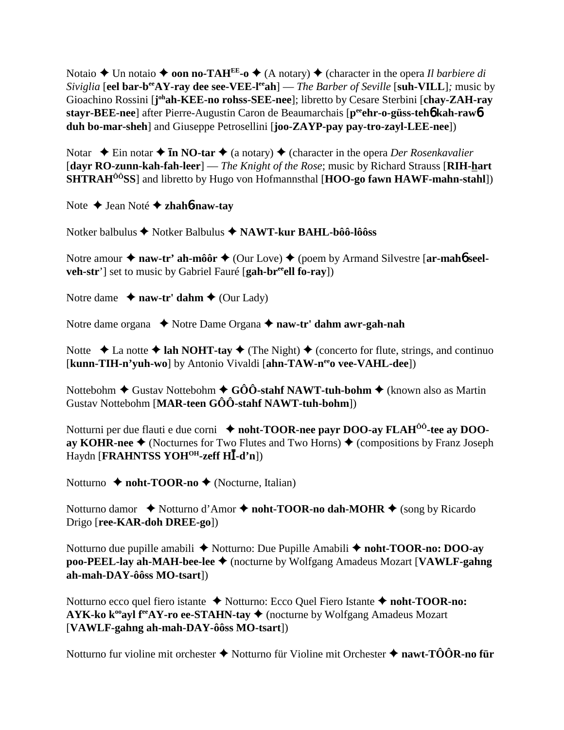Notaio  $\triangle$  Un notaio  $\triangle$  **oon no-TAH<sup>EE</sup>-o**  $\triangle$  (A notary)  $\triangle$  (character in the opera *Il barbiere di Siviglia* [eel bar-b<sup>ee</sup>AY-ray dee see-VEE-l<sup>ee</sup>ah] — *The Barber of Seville* [suh-VILL]; music by Gioachino Rossini [**j**<sup>oh</sup>ah-KEE-no rohss-SEE-nee]; libretto by Cesare Sterbini [chay-ZAH-ray **stayr-BEE-nee**] after Pierre-Augustin Caron de Beaumarchais [**peeehr-o-güss-teh**6 **kah-raw**6 **duh bo-mar-sheh**] and Giuseppe Petrosellini [**joo-ZAYP-pay pay-tro-zayl-LEE-nee**])

Notar  $\div$  Ein notar  $\div$  **In NO-tar**  $\div$  (a notary)  $\div$  (character in the opera *Der Rosenkavalier* [**dayr RO-zunn-kah-fah-leer**] — *The Knight of the Rose*; music by Richard Strauss [**RIH-hart SHTRAHÔÔSS**] and libretto by Hugo von Hofmannsthal [**HOO-go fawn HAWF-mahn-stahl**])

Note Jean Noté **zhah**6**-naw-tay**

Notker balbulus Notker Balbulus **NAWT-kur BAHL-bôô-lôôss**

Notre amour  $\triangle$  naw-tr' ah-môôr  $\triangle$  (Our Love)  $\triangle$  (poem by Armand Silvestre [ar-mah**6** seel**veh-str**'] set to music by Gabriel Fauré [gah-br<sup>ee</sup>ell fo-ray])

Notre dame  $\triangle$  **naw-tr' dahm**  $\triangle$  (Our Lady)

Notre dame organa **→** Notre Dame Organa **→ naw-tr' dahm awr-gah-nah** 

Notte  $\triangle$  La notte  $\triangle$  lah NOHT-tay  $\triangle$  (The Night)  $\triangle$  (concerto for flute, strings, and continuo [kunn-TIH-n'yuh-wo] by Antonio Vivaldi [ahn-TAW-n<sup>ee</sup>o vee-VAHL-dee])

Nottebohm **→** Gustav Nottebohm **→ GÔÔ-stahf NAWT-tuh-bohm →** (known also as Martin Gustav Nottebohm [**MAR-teen GÔÔ-stahf NAWT-tuh-bohm**])

Notturni per due flauti e due corni  $\triangle$  noht-TOOR-nee payr DOO-ay FLAH<sup>ôô</sup>-tee ay DOO**ay KOHR-nee**  $\blacklozenge$  (Nocturnes for Two Flutes and Two Horns)  $\blacklozenge$  (compositions by Franz Joseph **Haydn [FRAHNTSS YOH<sup>OH</sup>-zeff HI-d'n])** 

Notturno **← noht-TOOR-no ←** (Nocturne, Italian)

Notturno damor ◆ Notturno d'Amor ◆ noht-TOOR-no dah-MOHR ◆ (song by Ricardo Drigo [**ree-KAR-doh DREE-go**])

Notturno due pupille amabili **→** Notturno: Due Pupille Amabili **→ noht-TOOR-no: DOO-ay poo-PEEL-lay ah-MAH-bee-lee ♦** (nocturne by Wolfgang Amadeus Mozart [VAWLF-gahng] **ah-mah-DAY-ôôss MO-tsart**])

Notturno ecco quel fiero istante ◆ Notturno: Ecco Quel Fiero Istante ◆ noht-TOOR-no: **AYK-ko k<sup>oo</sup>ayl f<sup>ee</sup>AY-ro ee-STAHN-tay**  $\blacklozenge$  (nocturne by Wolfgang Amadeus Mozart [**VAWLF-gahng ah-mah-DAY-ôôss MO-tsart**])

Notturno fur violine mit orchester **→** Notturno für Violine mit Orchester **→ nawt-TÔÔR-no für**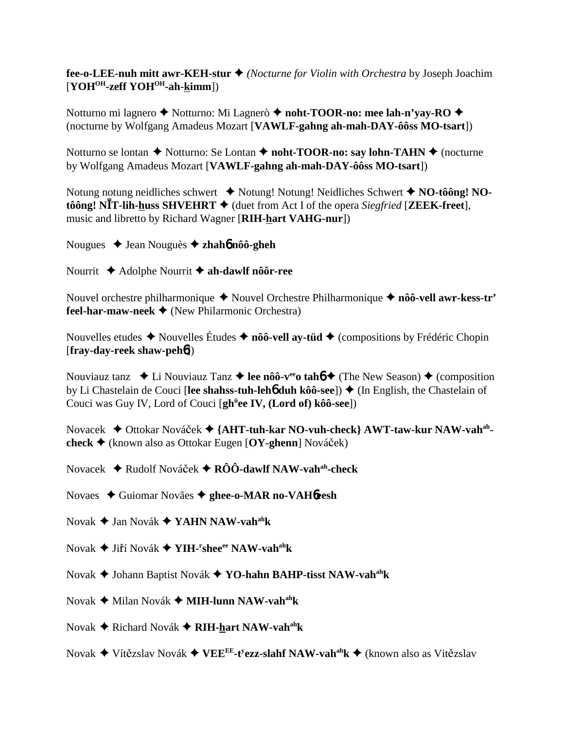### **fee-o-LEE-nuh mitt awr-KEH-stur** *(Nocturne for Violin with Orchestra* by Joseph Joachim [**YOHOH-zeff YOHOH-ah-kimm**])

Notturno mi lagnero **→** Notturno: Mi Lagnerò **→ noht-TOOR-no: mee lah-n'yay-RO** → (nocturne by Wolfgang Amadeus Mozart [**VAWLF-gahng ah-mah-DAY-ôôss MO-tsart**])

Notturno se lontan **→** Notturno: Se Lontan **→ noht-TOOR-no: say lohn-TAHN** → (nocturne by Wolfgang Amadeus Mozart [**VAWLF-gahng ah-mah-DAY-ôôss MO-tsart**])

Notung notung neidliches schwert **→** Notung! Notung! Neidliches Schwert ◆ NO-tôông! NO- $\hat{\textbf{to}}$  **NIT-lih-huss SHVEHRT**  $\blacklozenge$  (duet from Act I of the opera *Siegfried* [**ZEEK-freet**], music and libretto by Richard Wagner [**RIH-hart VAHG-nur**])

Nougues Jean Nouguès **zhah**6 **nôô-gheh**

Nourrit Adolphe Nourrit **ah-dawlf nôôr-ree**

Nouvel orchestre philharmonique **→** Nouvel Orchestre Philharmonique → nôô-vell awr-kess-tr' **feel-har-maw-neek** (New Philarmonic Orchestra)

Nouvelles etudes  $\triangle$  Nouvelles Études  $\triangle$  nôô-vell ay-tüd  $\triangle$  (compositions by Frédéric Chopin [**fray-day-reek shaw-peh**6])

Nouviauz tanz  $\triangleleft$  Li Nouviauz Tanz  $\triangleleft$  lee nôô-v<sup>ee</sup> tah<sup>6</sup>  $\triangleleft$  (The New Season)  $\triangleleft$  (composition by Li Chastelain de Couci [lee shahss-tuh-leh**6** duh kôô-see]) ♦ (In English, the Chastelain of Couci was Guy IV, Lord of Couci [**ghü ee IV, (Lord of) kôô-see**])

Novacek **→** Ottokar Nováček → {AHT-tuh-kar NO-vuh-check} AWT-taw-kur NAW-vah<sup>ah</sup>**check** (known also as Ottokar Eugen [**OY-ghenn**] Nováek)

Novacek Rudolf Nováek **RÔÔ-dawlf NAW-vahah-check**

Novaes Guiomar Novães **ghee-o-MAR no-VAH**6**eesh**

- Novak Jan Novák **YAHN NAW-vahahk**
- Novak ♦ Jiří Novák ♦ YIH-<sup>r</sup>shee<sup>ee</sup> NAW-v<mark>ah<sup>ah</sup>k</mark>
- Novak Johann Baptist Novák **YO-hahn BAHP-tisst NAW-vahahk**
- Novak Milan Novák **MIH-lunn NAW-vahahk**
- Novak Richard Novák **RIH-hart NAW-vahahk**
- Novak ♦ Vítězslav Novák ♦ VEE<sup>EE</sup>-t<sup>y</sup>ezz-sl<mark>ahf NAW-vah<sup>ah</sup>k ♦</mark> (known also as Vitězslav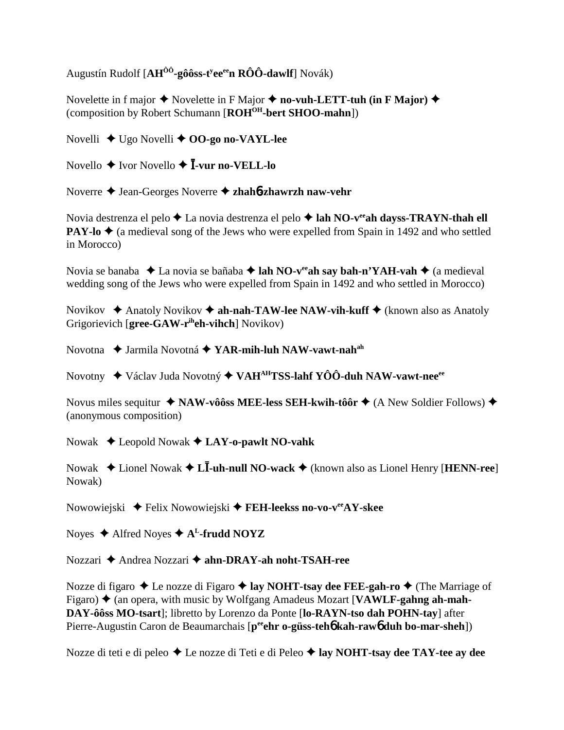Augustín Rudolf [AH<sup>ÔÔ</sup>-gôôss-t<sup>y</sup>ee<sup>ee</sup>n RÔÔ-dawlf] Novák)

Novelette in f major  $\triangle$  Novelette in F Major  $\triangle$  no-vuh-LETT-tuh (in F Major)  $\triangle$ (composition by Robert Schumann [ROH<sup>OH</sup>-bert SHOO-mahn])

Novelli  $\triangleleft$  Ugo Novelli  $\triangleleft$  OO-go no-VAYL-lee

Novello  $\triangle$  Ivor Novello  $\triangle$  **I**-vur no-VELL-lo

Noverre ◆ Jean-Georges Noverre ◆ zhahb-zhawrzh naw-vehr

Novia destrenza el pelo  $\triangle$  La novia destrenza el pelo  $\triangle$  lah NO-v<sup>ee</sup> ah days s-TRAYN-than ell **PAY-lo**  $\triangle$  (a medieval song of the Jews who were expelled from Spain in 1492 and who settled in Morocco)

Novia se banaba ◆ La novia se bañaba ◆ lah NO-veah say bah-n'YAH-vah ◆ (a medieval wedding song of the Jews who were expelled from Spain in 1492 and who settled in Morocco)

Novikov  $\triangle$  Anatoly Novikov  $\triangle$  ah-nah-TAW-lee NAW-vih-kuff  $\triangle$  (known also as Anatoly Grigorievich [ $\text{gree-GAW-r}^{\text{ih}}$ eh-vihch] Novikov)

Novotna ◆ Jarmila Novotná ◆ YAR-mih-luh NAW-vawt-nah<sup>ah</sup>

Novotny ◆ Václav Juda Novotný ◆ VAH<sup>AH</sup>TSS-lahf YÔÔ-duh NAW-vawt-nee<sup>ee</sup>

Novus miles sequitur  $\triangleleft$  NAW-vôôss MEE-less SEH-kwih-tôôr  $\triangleleft$  (A New Soldier Follows)  $\triangleleft$ (anonymous composition)

Nowak  $\triangle$  Leopold Nowak  $\triangle$  LAY-o-pawlt NO-vahk

Nowak  $\triangle$  Lionel Nowak  $\triangle$  L**I**-uh-null NO-wack  $\triangle$  (known also as Lionel Henry [HENN-ree] Nowak)

Nowowiejski  $\blacklozenge$  Felix Nowowiejski  $\blacklozenge$  FEH-leekss no-vo-v<sup>ee</sup>AY-skee

Noyes  $\triangle$  Alfred Noyes  $\triangle$  A<sup>L</sup>-frudd NOYZ

Nozzari ◆ Andrea Nozzari ◆ ahn-DRAY-ah noht-TSAH-ree

Nozze di figaro  $\triangle$  Le nozze di Figaro  $\triangle$  lay NOHT-tsay dee FEE-gah-ro  $\triangle$  (The Marriage of Figaro)  $\triangle$  (an opera, with music by Wolfgang Amadeus Mozart [VAWLF-gahng ah-mah-DAY-ôôss MO-tsart]; libretto by Lorenzo da Ponte [lo-RAYN-tso dah POHN-tay] after Pierre-Augustin Caron de Beaumarchais [p<sup>ee</sup>ehr o-güss-teho kah-rawo duh bo-mar-sheh])

Nozze di teti e di peleo ◆ Le nozze di Teti e di Peleo ◆ lay NOHT-tsay dee TAY-tee ay dee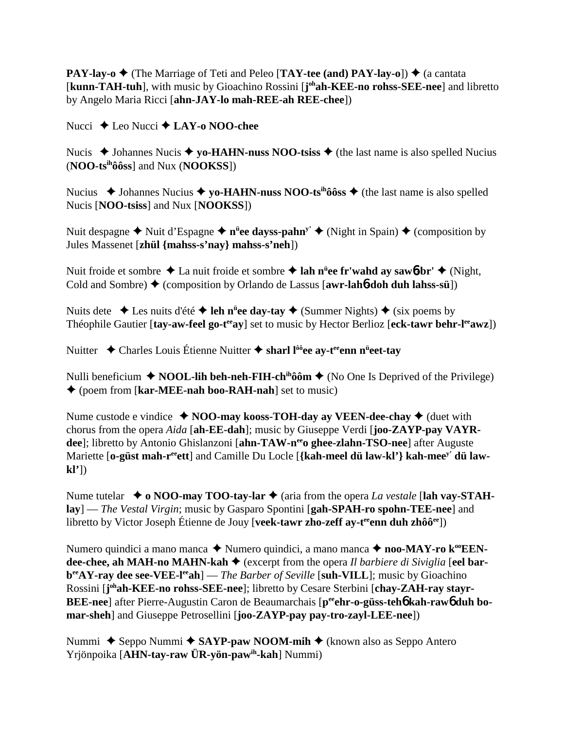**PAY-lay-o**  $\blacklozenge$  (The Marriage of Teti and Peleo [**TAY-tee (and) PAY-lay-o**])  $\blacklozenge$  (a cantata [kunn-TAH-tuh], with music by Gioachino Rossini [j<sup>oh</sup>ah-KEE-no rohss-SEE-nee] and libretto by Angelo Maria Ricci [**ahn-JAY-lo mah-REE-ah REE-chee**])

Nucci **→** Leo Nucci **→ LAY-o NOO-chee** 

Nucis  $\triangle$  Johannes Nucis  $\triangle$  yo-HAHN-nuss NOO-tsiss  $\triangle$  (the last name is also spelled Nucius (**NOO-tsihôôss**] and Nux (**NOOKSS**])

Nucius  $\triangle$  Johannes Nucius  $\triangle$  yo-HAHN-nuss NOO-ts<sup>ih</sup>ôôss  $\triangle$  (the last name is also spelled Nucis [**NOO-tsiss**] and Nux [**NOOKSS**])

Nuit despagne ◆ Nuit d'Espagne ◆ n<sup>ü</sup>ee dayss-pahn<sup>y'</sup> ◆ (Night in Spain) ◆ (composition by Jules Massenet [**zhül {mahss-s'nay} mahss-s'neh**])

Nuit froide et sombre La nuit froide et sombre **lah nü ee fr'wahd ay saw**6**-br'** (Night, Cold and Sombre) ♦ (composition by Orlando de Lassus [**awr-lah6-doh duh lahss-sü**])

Nuits dete **→** Les nuits d'été **→ leh n<sup>ü</sup>ee day-tay →** (Summer Nights) ◆ (six poems by Théophile Gautier [tay-aw-feel go-t<sup>ee</sup>ay] set to music by Hector Berlioz [eck-tawr behr-l<sup>ee</sup>awz])

Nuitter ◆ Charles Louis Étienne Nuitter ◆ sharl l<sup>ôô</sup>ee ay-t<sup>ee</sup>enn n<sup>ü</sup>eet-tay

Nulli beneficium  $\triangle$  **NOOL-lih beh-neh-FIH-ch<sup>ih</sup>ôôm**  $\triangle$  (No One Is Deprived of the Privilege) (poem from [**kar-MEE-nah boo-RAH-nah**] set to music)

Nume custode e vindice  $\triangle$  **NOO-may kooss-TOH-day ay VEEN-dee-chay**  $\triangle$  (duet with chorus from the opera *Aida* [**ah-EE-dah**]; music by Giuseppe Verdi [**joo-ZAYP-pay VAYR**dee]; libretto by Antonio Ghislanzoni [ahn-TAW-n<sup>ee</sup>o ghee-zlahn-TSO-nee] after Auguste Mariette [o-güst mah-r<sup>ee</sup>ett] and Camille Du Locle [{kah-meel dü law-kl'} kah-mee<sup>y'</sup> dü law**kl'**])

Nume tutelar **♦ o NOO-may TOO-tay-lar ♦** (aria from the opera *La vestale* [lah vay-STAH**lay**] — *The Vestal Virgin*; music by Gasparo Spontini [**gah-SPAH-ro spohn-TEE-nee**] and libretto by Victor Joseph Étienne de Jouy [**veek-tawr zho-zeff ay-t<sup>ee</sup>enn duh zhôô<sup>ee</sup>]**)

Numero quindici a mano manca **→** Numero quindici, a mano manca → **noo-MAY-ro k<sup>oo</sup>EENdee-chee, ah MAH-no MAHN-kah** (excerpt from the opera *Il barbiere di Siviglia* [**eel barb**<sup>ee</sup>AY-ray dee see-VEE-l<sup>ee</sup>ah] — *The Barber of Seville* [suh-VILL]; music by Gioachino Rossini [j<sup>oh</sup>ah-KEE-no rohss-SEE-nee]; libretto by Cesare Sterbini [chay-ZAH-ray stayr-BEE-nee] after Pierre-Augustin Caron de Beaumarchais [p<sup>ee</sup>ehr-o-güss-teh6 kah-raw6 duh bo**mar-sheh**] and Giuseppe Petrosellini [**joo-ZAYP-pay pay-tro-zayl-LEE-nee**])

Nummi ◆ Seppo Nummi ◆ SAYP-paw NOOM-mih ◆ (known also as Seppo Antero Yrjönpoika [**AHN-tay-raw ÜR-yön-pawih-kah**] Nummi)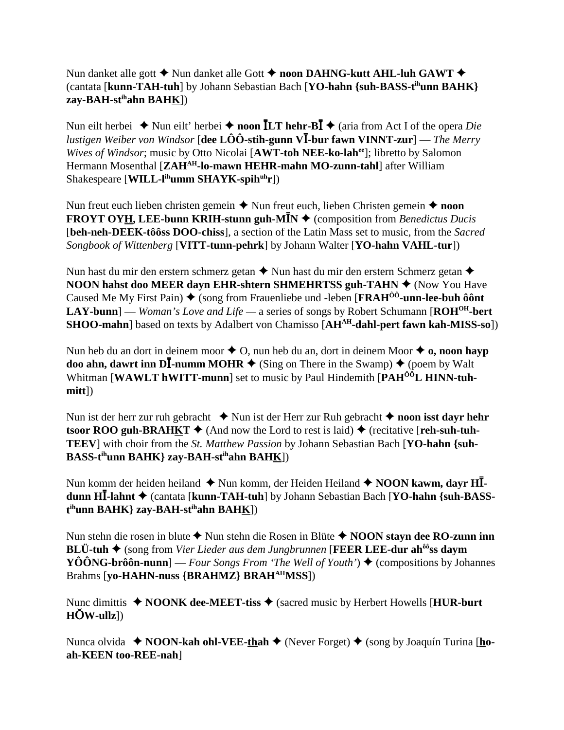## Nun danket alle gott ◆ Nun danket alle Gott ◆ noon DAHNG-kutt AHL-luh GAWT ◆ (cantata [**kunn-TAH-tuh**] by Johann Sebastian Bach [**YO-hahn {suh-BASS-tihunn BAHK} zay-BAH-stihahn BAHK**])

Nun eilt herbei ◆ Nun eilt' herbei ◆ noon  $\overline{L}$ **T hehr-B** $\overline{I}$  ◆ (aria from Act I of the opera *Die lustigen Weiber von Windsor* [**dee LÔÔ-stih-gunn V**-**-bur fawn VINNT-zur**] — *The Merry Wives of Windsor*; music by Otto Nicolai [AWT-toh NEE-ko-lah<sup>ee</sup>]; libretto by Salomon Hermann Mosenthal [**ZAHAH-lo-mawn HEHR-mahn MO-zunn-tahl**] after William Shakespeare [**WILL-l<sup>ih</sup>umm SHAYK-spih<sup>uh</sup>r**])

Nun freut euch lieben christen gemein  $\triangle$  Nun freut euch, lieben Christen gemein  $\triangle$  **noon FROYT OYH, LEE-bunn KRIH-stunn guh-M** $\bar{I}N \triangleq$  **(composition from** *Benedictus Ducis***)** [**beh-neh-DEEK-tôôss DOO-chiss**], a section of the Latin Mass set to music, from the *Sacred Songbook of Wittenberg* [**VITT-tunn-pehrk**] by Johann Walter [**YO-hahn VAHL-tur**])

Nun hast du mir den erstern schmerz getan  $\triangle$  Nun hast du mir den erstern Schmerz getan  $\triangle$ **NOON hahst doo MEER dayn EHR-shtern SHMEHRTSS guh-TAHN**  $\triangle$  **(Now You Have** Caused Me My First Pain) (song from Frauenliebe und -leben [**FRAHÔÔ-unn-lee-buh ôônt LAY-bunn**] — *Woman's Love and Life —* a series of songs by Robert Schumann [**ROHOH-bert SHOO-mahn**] based on texts by Adalbert von Chamisso [AH<sup>AH</sup>-dahl-pert fawn kah-MISS-so])

Nun heb du an dort in deinem moor  $\triangle$  O, nun heb du an, dort in deinem Moor  $\triangle$  o, noon hayp **doo ahn, dawrt inn DI-numm MOHR**  $\triangleq$  (Sing on There in the Swamp)  $\triangleq$  (poem by Walt Whitman **[WAWLT hWITT-munn**] set to music by Paul Hindemith **[PAH<sup>ÔÔ</sup>L HINN-tuhmitt**])

Nun ist der herr zur ruh gebracht **↓** Nun ist der Herr zur Ruh gebracht **↓ noon isst dayr hehr tsoor ROO guh-BRAHKT**  $\blacklozenge$  (And now the Lord to rest is laid)  $\blacklozenge$  (recitative [**reh-suh-tuh-TEEV**] with choir from the *St. Matthew Passion* by Johann Sebastian Bach [**YO-hahn {suh-BASS-tihunn BAHK} zay-BAH-stihahn BAHK**])

Nun komm der heiden heiland  $\blacklozenge$  Nun komm, der Heiden Heiland  $\blacklozenge$  NOON kawm, dayr HI**dunn HĪ-lahnt ♦** (cantata [kunn-TAH-tuh] by Johann Sebastian Bach [YO-hahn {suh-BASS**t ihunn BAHK} zay-BAH-stihahn BAHK**])

Nun stehn die rosen in blute ◆ Nun stehn die Rosen in Blüte ◆ NOON stayn dee RO-zunn inn **BLÜ-tuh ♦** (song from *Vier Lieder aus dem Jungbrunnen* [**FEER LEE-dur ah<sup>ôô</sup>ss daym YÔÔNG-brôôn-nunn**] — *Four Songs From 'The Well of Youth'*)  $\triangle$  (compositions by Johannes Brahms [**yo-HAHN-nuss {BRAHMZ} BRAHAHMSS**])

Nunc dimittis ◆ NOONK dee-MEET-tiss ◆ (sacred music by Herbert Howells [**HUR-burt**  $H\ddot{\textbf{O}}$ **W-ullz**])

Nunca olvida ◆ NOON-kah ohl-VEE-thah ◆ (Never Forget) ◆ (song by Joaquín Turina [ho**ah-KEEN too-REE-nah**]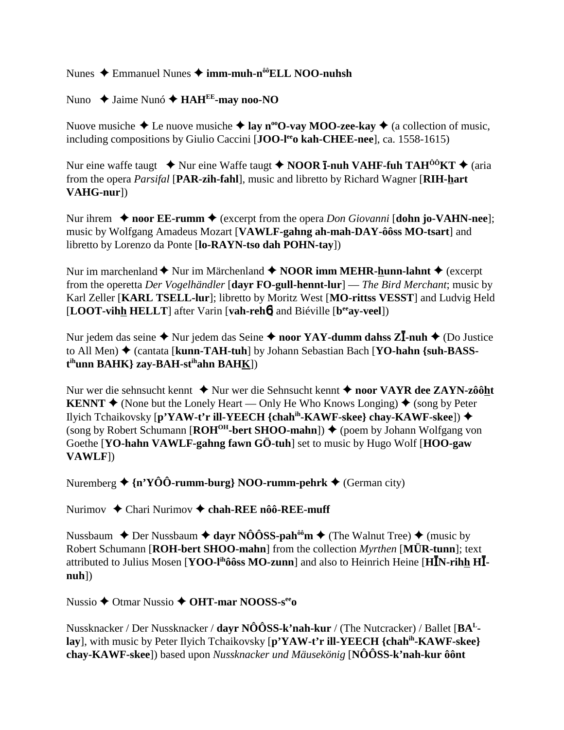Nunes  $\triangle$  Emmanuel Nunes  $\triangle$  imm-muh-n<sup> $\hat{\theta}$ ®ELL NOO-nuhsh</sup>

Nuno  $\triangle$  Jaime Nunó  $\triangle$  HAH<sup>EE</sup>-may noo-NO

Nuove musiche  $\triangle$  Le nuove musiche  $\triangle$  lay n<sup>oo</sup>O-vay MOO-zee-kay  $\triangle$  (a collection of music, including compositions by Giulio Caccini [JOO-lee o kah-CHEE-nee], ca. 1558-1615)

Nur eine waffe taugt  $\rightarrow$  Nur eine Waffe taugt  $\rightarrow$  NOOR **ī-nuh VAHF-fuh TAH<sup>00</sup>KT**  $\rightarrow$  (aria from the opera *Parsifal* [PAR-zih-fahl], music and libretto by Richard Wagner [RIH-hart]  $VAHG-nur$ ])

Nur ihrem  $\triangle$  noor EE-rumm  $\triangle$  (excerpt from the opera *Don Giovanni* [dohn io-VAHN-nee]: music by Wolfgang Amadeus Mozart [VAWLF-gahng ah-mah-DAY-ôôss MO-tsart] and libretto by Lorenzo da Ponte [lo-RAYN-tso dah POHN-tay])

Nur im marchenland  $\blacklozenge$  Nur im Märchenland  $\blacklozenge$  NOOR imm MEHR-hunn-lahnt  $\blacklozenge$  (excerpt from the operetta Der Vogelhändler [dayr FO-gull-hennt-lur] — The Bird Merchant; music by Karl Zeller [KARL TSELL-lur]; libretto by Moritz West [MO-rittss VESST] and Ludvig Held [LOOT-vihh HELLT] after Varin [vah-reho] and Biéville [b<sup>ee</sup>av-veel])

Nur jedem das seine  $\triangle$  Nur jedem das Seine  $\triangle$  noor YAY-dumm dahss ZI-nuh  $\triangle$  (Do Justice to All Men) ♦ (cantata [kunn-TAH-tuh] by Johann Sebastian Bach [YO-hahn {suh-BASS- $\mathbf{t}^{\text{ih}}$ unn BAHK} zay-BAH-s $\mathbf{t}^{\text{ih}}$ ahn BAHK])

Nur wer die sehnsucht kennt ◆ Nur wer die Sehnsucht kennt ◆ noor VAYR dee ZAYN-zôôht **KENNT**  $\blacklozenge$  (None but the Lonely Heart — Only He Who Knows Longing)  $\blacklozenge$  (song by Peter Ilyich Tchaikovsky [p'YAW-t'r ill-YEECH {chah<sup>ih</sup>-KAWF-skee} chay-KAWF-skee])  $\blacklozenge$ (song by Robert Schumann [ $ROH^{OH}$ -bert SHOO-mahn])  $\blacklozenge$  (poem by Johann Wolfgang von Goethe [YO-hahn VAWLF-gahng fawn GÖ-tuh] set to music by Hugo Wolf [HOO-gaw] **VAWLF[)** 

Nuremberg  $\triangleq \{n'Y\hat{O}\hat{O}$ -rumm-burg} NOO-rumm-pehrk  $\triangleq$  (German city)

Nurimov  $\triangle$  Chari Nurimov  $\triangle$  chah-REE nôô-REE-muff

Nussbaum  $\triangle$  Der Nussbaum  $\triangle$  dayr NÔÔSS-pah<sup>ôô</sup>m  $\triangle$  (The Walnut Tree)  $\triangle$  (music by Robert Schumann [ROH-bert SHOO-mahn] from the collection *Myrthen* [MÜR-tunn]; text attributed to Julius Mosen [YOO-l<sup>ih</sup>ôôss MO-zunn] and also to Heinrich Heine [HIN-rihh HI- $\mathbf{nuh}$ ])

Nussio  $\triangle$  Otmar Nussio  $\triangle$  OHT-mar NOOSS-s<sup>ee</sup>o

Nussknacker / Der Nussknacker / dayr  $N\hat{O}\hat{O}SS$ -k'nah-kur / (The Nutcracker) / Ballet [ $BA<sup>L</sup>$ lay], with music by Peter Ilyich Tchaikovsky [p'YAW-t'r ill-YEECH {chah<sup>ih</sup>-KAWF-skee} chav-KAWF-skee]) based upon Nussknacker und Mäusekönig [ $N\hat{O}$ OSS-k'nah-kur ôont